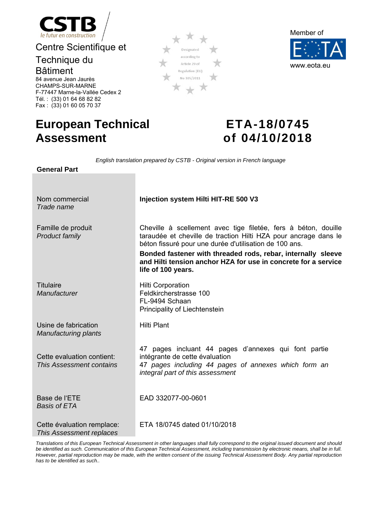

Centre Scientifique et

# Technique du

Bâtiment 84 avenue Jean Jaurès CHAMPS-SUR-MARNE

F-77447 Marne-la-Vallée Cedex 2Tél. : (33) 01 64 68 82 82 Fax : (33) 01 60 05 70 37

# Designated according to Article 29 of Regulation (EU) No 305/2011



# **European Technical Assessment**

# **ETA-18/0745 of 04/10/2018**

*English translation prepared by CSTB - Original version in French language* 

| <b>General Part</b>                                    | Liigiisii tidrisidtion prepared by C3TD - Onginal version in French ianguage                                                                                                                                                                                                                                                                        |
|--------------------------------------------------------|-----------------------------------------------------------------------------------------------------------------------------------------------------------------------------------------------------------------------------------------------------------------------------------------------------------------------------------------------------|
|                                                        |                                                                                                                                                                                                                                                                                                                                                     |
| Nom commercial<br>Trade name                           | Injection system Hilti HIT-RE 500 V3                                                                                                                                                                                                                                                                                                                |
| Famille de produit<br>Product family                   | Cheville à scellement avec tige filetée, fers à béton, douille<br>taraudée et cheville de traction Hilti HZA pour ancrage dans le<br>béton fissuré pour une durée d'utilisation de 100 ans.<br>Bonded fastener with threaded rods, rebar, internally sleeve<br>and Hilti tension anchor HZA for use in concrete for a service<br>life of 100 years. |
| <b>Titulaire</b><br>Manufacturer                       | <b>Hilti Corporation</b><br>Feldkircherstrasse 100<br>FL-9494 Schaan<br>Principality of Liechtenstein                                                                                                                                                                                                                                               |
| Usine de fabrication<br><b>Manufacturing plants</b>    | <b>Hilti Plant</b>                                                                                                                                                                                                                                                                                                                                  |
| Cette evaluation contient:<br>This Assessment contains | 47 pages incluant 44 pages d'annexes qui font partie<br>intégrante de cette évaluation<br>47 pages including 44 pages of annexes which form an<br>integral part of this assessment                                                                                                                                                                  |
| Base de l'ETE<br><b>Basis of ETA</b>                   | EAD 332077-00-0601                                                                                                                                                                                                                                                                                                                                  |
| Cette évaluation remplace:<br>This Assessment replaces | ETA 18/0745 dated 01/10/2018                                                                                                                                                                                                                                                                                                                        |

*Translations of this European Technical Assessment in other languages shall fully correspond to the original issued document and should be identified as such. Communication of this European Technical Assessment, including transmission by electronic means, shall be in full. However, partial reproduction may be made, with the written consent of the issuing Technical Assessment Body. Any partial reproduction has to be identified as such..*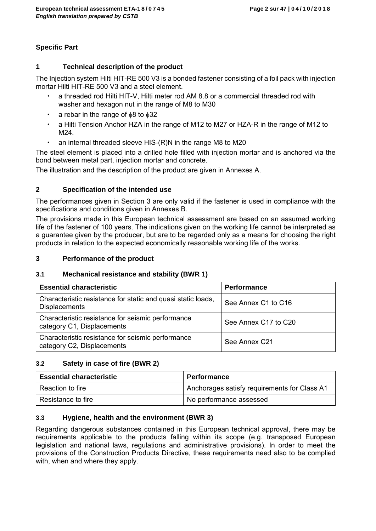# **Specific Part**

# **1 Technical description of the product**

The Injection system Hilti HIT-RE 500 V3 is a bonded fastener consisting of a foil pack with injection mortar Hilti HIT-RE 500 V3 and a steel element.

- a threaded rod Hilti HIT-V, Hilti meter rod AM 8.8 or a commercial threaded rod with washer and hexagon nut in the range of M8 to M30
- $\cdot$  a rebar in the range of  $\phi$ 8 to  $\phi$ 32
- a Hilti Tension Anchor HZA in the range of M12 to M27 or HZA-R in the range of M12 to M24.
- an internal threaded sleeve HIS-(R)N in the range M8 to M20

The steel element is placed into a drilled hole filled with injection mortar and is anchored via the bond between metal part, injection mortar and concrete.

The illustration and the description of the product are given in Annexes A.

# **2 Specification of the intended use**

The performances given in Section 3 are only valid if the fastener is used in compliance with the specifications and conditions given in Annexes B.

The provisions made in this European technical assessment are based on an assumed working life of the fastener of 100 years. The indications given on the working life cannot be interpreted as a guarantee given by the producer, but are to be regarded only as a means for choosing the right products in relation to the expected economically reasonable working life of the works.

# **3 Performance of the product**

# **3.1 Mechanical resistance and stability (BWR 1)**

| <b>Essential characteristic</b>                                                      | <b>Performance</b>   |
|--------------------------------------------------------------------------------------|----------------------|
| Characteristic resistance for static and quasi static loads,<br><b>Displacements</b> | See Annex C1 to C16  |
| Characteristic resistance for seismic performance<br>category C1, Displacements      | See Annex C17 to C20 |
| Characteristic resistance for seismic performance<br>category C2, Displacements      | See Annex C21        |

# **3.2 Safety in case of fire (BWR 2)**

| <b>Essential characteristic</b> | <b>Performance</b>                           |
|---------------------------------|----------------------------------------------|
| Reaction to fire                | Anchorages satisfy requirements for Class A1 |
| Resistance to fire              | No performance assessed                      |

# **3.3 Hygiene, health and the environment (BWR 3)**

Regarding dangerous substances contained in this European technical approval, there may be requirements applicable to the products falling within its scope (e.g. transposed European legislation and national laws, regulations and administrative provisions). In order to meet the provisions of the Construction Products Directive, these requirements need also to be complied with, when and where they apply.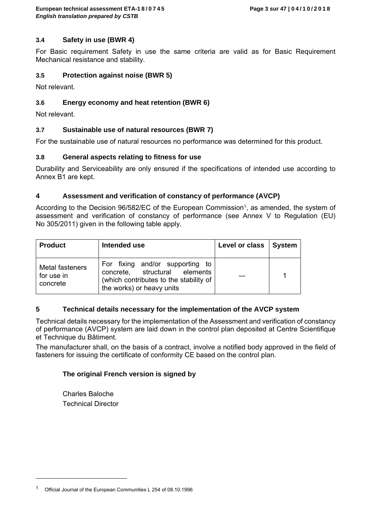# **3.4 Safety in use (BWR 4)**

For Basic requirement Safety in use the same criteria are valid as for Basic Requirement Mechanical resistance and stability.

# **3.5 Protection against noise (BWR 5)**

Not relevant.

# **3.6 Energy economy and heat retention (BWR 6)**

Not relevant.

# **3.7 Sustainable use of natural resources (BWR 7)**

For the sustainable use of natural resources no performance was determined for this product.

# **3.8 General aspects relating to fitness for use**

Durability and Serviceability are only ensured if the specifications of intended use according to Annex B1 are kept.

# **4 Assessment and verification of constancy of performance (AVCP)**

According to the Decision 96/582/EC of the European Commission<sup>1</sup>, as amended, the system of assessment and verification of constancy of performance (see Annex V to Regulation (EU) No 305/2011) given in the following table apply.

| <b>Product</b>                            | Intended use                                                                                                                            | Level or class | <b>System</b> |
|-------------------------------------------|-----------------------------------------------------------------------------------------------------------------------------------------|----------------|---------------|
| Metal fasteners<br>for use in<br>concrete | For fixing and/or supporting to<br>concrete, structural elements<br>(which contributes to the stability of<br>the works) or heavy units |                |               |

# **5 Technical details necessary for the implementation of the AVCP system**

Technical details necessary for the implementation of the Assessment and verification of constancy of performance (AVCP) system are laid down in the control plan deposited at Centre Scientifique et Technique du Bâtiment.

The manufacturer shall, on the basis of a contract, involve a notified body approved in the field of fasteners for issuing the certificate of conformity CE based on the control plan.

# **The original French version is signed by**

Charles Baloche Technical Director

 $\overline{a}$ 

<sup>1</sup> Official Journal of the European Communities L 254 of 08.10.1996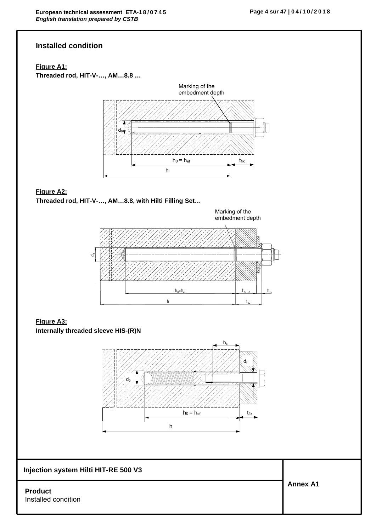# **Installed condition**

# **Figure A1:**

**Threaded rod, HIT-V-…, AM…8.8 …**



# **Figure A2:**

**Threaded rod, HIT-V-…, AM…8.8, with Hilti Filling Set…** 



# **Figure A3:**

**Internally threaded sleeve HIS-(R)N**



# **Injection system Hilti HIT-RE 500 V3**

### **Product**  Installed condition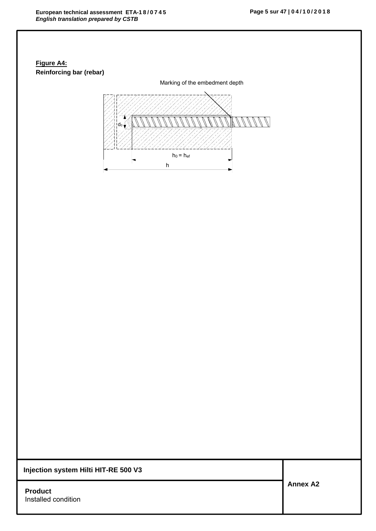# **Figure A4: Reinforcing bar (rebar)**



**Injection system Hilti HIT-RE 500 V3**

**Product**  Installed condition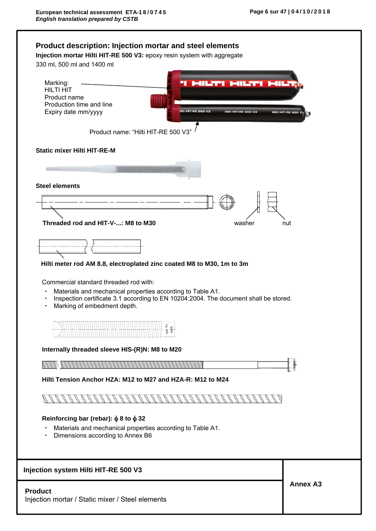| Marking:<br><b>MILTI MILT</b><br>41L.TT<br><b>HILTI HIT</b>                          |                           |
|--------------------------------------------------------------------------------------|---------------------------|
| Product name                                                                         |                           |
| Production time and line                                                             |                           |
| Expiry date mm/yyyy<br>lilti HIT-RE 500 V3<br>Hilti HIT-RE 500 V3                    | <b>Hilti_HIT-RE 500 V</b> |
|                                                                                      |                           |
| Product name: "Hilti HIT-RE 500 V3"                                                  |                           |
| <b>Static mixer Hilti HIT-RE-M</b>                                                   |                           |
|                                                                                      |                           |
| <b>Steel elements</b>                                                                |                           |
|                                                                                      |                           |
|                                                                                      |                           |
| Threaded rod and HIT-V-: M8 to M30<br>washer                                         | nut                       |
|                                                                                      |                           |
|                                                                                      |                           |
| Hilti meter rod AM 8.8, electroplated zinc coated M8 to M30, 1m to 3m                |                           |
| Commercial standard threaded rod with:                                               |                           |
| Materials and mechanical properties according to Table A1.<br>$\bullet$              |                           |
| Inspection certificate 3.1 according to EN 10204:2004. The document shall be stored. |                           |
| Marking of embedment depth.                                                          |                           |
|                                                                                      |                           |
| Ē,                                                                                   |                           |
| 늘 띂                                                                                  |                           |
| Internally threaded sleeve HIS-(R)N: M8 to M20                                       |                           |
|                                                                                      |                           |
| Hilti Tension Anchor HZA: M12 to M27 and HZA-R: M12 to M24                           |                           |
|                                                                                      |                           |
|                                                                                      |                           |
| Reinforcing bar (rebar): $\phi$ 8 to $\phi$ 32                                       |                           |
| Materials and mechanical properties according to Table A1.                           |                           |
| Dimensions according to Annex B6                                                     |                           |
|                                                                                      |                           |
| Injection system Hilti HIT-RE 500 V3                                                 | <b>Annex A3</b>           |
|                                                                                      |                           |
| <b>Product</b>                                                                       |                           |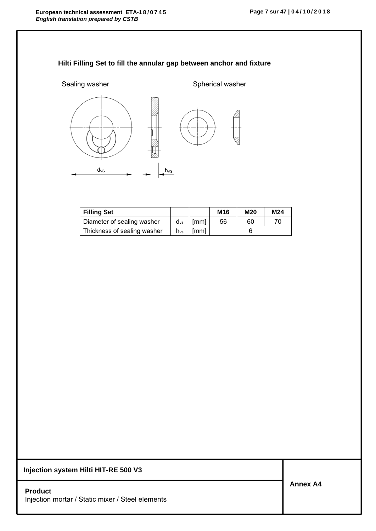# **Hilti Filling Set to fill the annular gap between anchor and fixture**



| <b>Filling Set</b>          |                 |      | M <sub>16</sub> | <b>M20</b> | M24 |
|-----------------------------|-----------------|------|-----------------|------------|-----|
| Diameter of sealing washer  | $d_{vs}$        | [mm] | 56              | 60         |     |
| Thickness of sealing washer | $h_{\text{vs}}$ | [mm] |                 |            |     |

**Injection system Hilti HIT-RE 500 V3**

**Product**  Injection mortar / Static mixer / Steel elements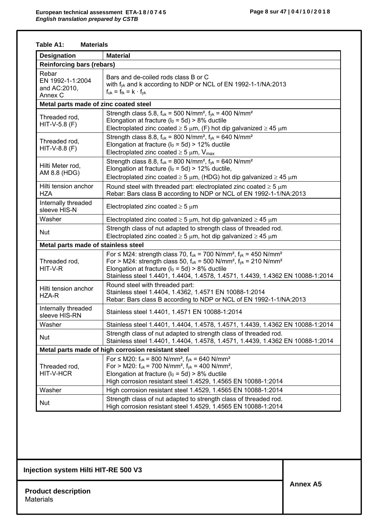| Table A1:<br><b>Materials</b>                        |                                                                                                                                                                                                                                                                                                                                                                  |  |  |  |  |  |  |
|------------------------------------------------------|------------------------------------------------------------------------------------------------------------------------------------------------------------------------------------------------------------------------------------------------------------------------------------------------------------------------------------------------------------------|--|--|--|--|--|--|
| <b>Designation</b>                                   | <b>Material</b>                                                                                                                                                                                                                                                                                                                                                  |  |  |  |  |  |  |
| <b>Reinforcing bars (rebars)</b>                     |                                                                                                                                                                                                                                                                                                                                                                  |  |  |  |  |  |  |
| Rebar<br>EN 1992-1-1:2004<br>and AC:2010,<br>Annex C | Bars and de-coiled rods class B or C<br>with fyk and k according to NDP or NCL of EN 1992-1-1/NA:2013<br>$f_{uk} = f_{tk} = k \cdot f_{vk}$                                                                                                                                                                                                                      |  |  |  |  |  |  |
| Metal parts made of zinc coated steel                |                                                                                                                                                                                                                                                                                                                                                                  |  |  |  |  |  |  |
| Threaded rod,<br>$HIT-V-5.8 (F)$                     | Strength class 5.8, $f_{uk}$ = 500 N/mm <sup>2</sup> , $f_{yk}$ = 400 N/mm <sup>2</sup><br>Elongation at fracture ( $I_0 = 5d$ ) > 8% ductile<br>Electroplated zinc coated $\geq$ 5 µm, (F) hot dip galvanized $\geq$ 45 µm                                                                                                                                      |  |  |  |  |  |  |
| Threaded rod,<br>$HIT-V-8.8 (F)$                     | Strength class 8.8, $f_{uk}$ = 800 N/mm <sup>2</sup> , $f_{yk}$ = 640 N/mm <sup>2</sup><br>Elongation at fracture ( $I_0 = 5d$ ) > 12% ductile<br>Electroplated zinc coated $\geq$ 5 µm, $V_{max}$                                                                                                                                                               |  |  |  |  |  |  |
| Hilti Meter rod,<br>AM 8.8 (HDG)                     | Strength class 8.8, $f_{uk}$ = 800 N/mm <sup>2</sup> , $f_{yk}$ = 640 N/mm <sup>2</sup><br>Elongation at fracture ( $I_0 = 5d$ ) > 12% ductile,<br>Electroplated zinc coated $\geq$ 5 µm, (HDG) hot dip galvanized $\geq$ 45 µm                                                                                                                                  |  |  |  |  |  |  |
| Hilti tension anchor<br><b>HZA</b>                   | Round steel with threaded part: electroplated zinc coated $\geq$ 5 $\mu$ m<br>Rebar: Bars class B according to NDP or NCL of EN 1992-1-1/NA:2013                                                                                                                                                                                                                 |  |  |  |  |  |  |
| Internally threaded<br>sleeve HIS-N                  | Electroplated zinc coated $\geq$ 5 $\mu$ m                                                                                                                                                                                                                                                                                                                       |  |  |  |  |  |  |
| Washer                                               | Electroplated zinc coated $\geq$ 5 $\mu$ m, hot dip galvanized $\geq$ 45 $\mu$ m                                                                                                                                                                                                                                                                                 |  |  |  |  |  |  |
| Nut                                                  | Strength class of nut adapted to strength class of threaded rod.<br>Electroplated zinc coated $\geq$ 5 $\mu$ m, hot dip galvanized $\geq$ 45 $\mu$ m                                                                                                                                                                                                             |  |  |  |  |  |  |
| Metal parts made of stainless steel                  |                                                                                                                                                                                                                                                                                                                                                                  |  |  |  |  |  |  |
| Threaded rod,<br>HIT-V-R                             | For $\leq$ M24: strength class 70, f <sub>uk</sub> = 700 N/mm <sup>2</sup> , f <sub>vk</sub> = 450 N/mm <sup>2</sup><br>For > M24: strength class 50, $f_{uk}$ = 500 N/mm <sup>2</sup> , $f_{yk}$ = 210 N/mm <sup>2</sup><br>Elongation at fracture ( $I_0$ = 5d) > 8% ductile<br>Stainless steel 1.4401, 1.4404, 1.4578, 1.4571, 1.4439, 1.4362 EN 10088-1:2014 |  |  |  |  |  |  |
| Hilti tension anchor<br>HZA-R                        | Round steel with threaded part:<br>Stainless steel 1.4404, 1.4362, 1.4571 EN 10088-1:2014<br>Rebar: Bars class B according to NDP or NCL of EN 1992-1-1/NA:2013                                                                                                                                                                                                  |  |  |  |  |  |  |
| Internally threaded<br>sleeve HIS-RN                 | Stainless steel 1.4401, 1.4571 EN 10088-1:2014                                                                                                                                                                                                                                                                                                                   |  |  |  |  |  |  |
| Washer                                               | Stainless steel 1.4401, 1.4404, 1.4578, 1.4571, 1.4439, 1.4362 EN 10088-1:2014                                                                                                                                                                                                                                                                                   |  |  |  |  |  |  |
| Nut                                                  | Strength class of nut adapted to strength class of threaded rod.<br>Stainless steel 1.4401, 1.4404, 1.4578, 1.4571, 1.4439, 1.4362 EN 10088-1:2014                                                                                                                                                                                                               |  |  |  |  |  |  |
|                                                      | Metal parts made of high corrosion resistant steel                                                                                                                                                                                                                                                                                                               |  |  |  |  |  |  |
| Threaded rod,<br>HIT-V-HCR                           | For $\leq$ M20: f <sub>uk</sub> = 800 N/mm <sup>2</sup> , f <sub>yk</sub> = 640 N/mm <sup>2</sup><br>For > M20: $f_{uk}$ = 700 N/mm <sup>2</sup> , $f_{yk}$ = 400 N/mm <sup>2</sup> ,<br>Elongation at fracture ( $I_0$ = 5d) > 8% ductile<br>High corrosion resistant steel 1.4529, 1.4565 EN 10088-1:2014                                                      |  |  |  |  |  |  |
| Washer                                               | High corrosion resistant steel 1.4529, 1.4565 EN 10088-1:2014                                                                                                                                                                                                                                                                                                    |  |  |  |  |  |  |
| Nut                                                  | Strength class of nut adapted to strength class of threaded rod.<br>High corrosion resistant steel 1.4529, 1.4565 EN 10088-1:2014                                                                                                                                                                                                                                |  |  |  |  |  |  |

**Product description**  Materials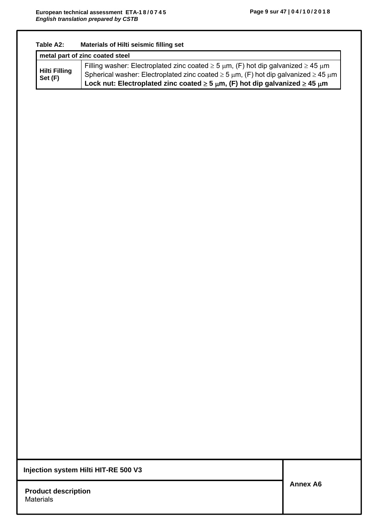|                                 | metal part of zinc coated steel                                                                                                                                                                                                                                                                            |
|---------------------------------|------------------------------------------------------------------------------------------------------------------------------------------------------------------------------------------------------------------------------------------------------------------------------------------------------------|
| <b>Hilti Filling</b><br>Set (F) | Filling washer: Electroplated zinc coated $\geq$ 5 $\mu$ m, (F) hot dip galvanized $\geq$ 45 $\mu$ m<br>Spherical washer: Electroplated zinc coated $\geq 5 \mu m$ , (F) hot dip galvanized $\geq 45 \mu m$<br>Lock nut: Electroplated zinc coated $\geq 5 \mu m$ , (F) hot dip galvanized $\geq 45 \mu m$ |
|                                 |                                                                                                                                                                                                                                                                                                            |
|                                 |                                                                                                                                                                                                                                                                                                            |
|                                 |                                                                                                                                                                                                                                                                                                            |
|                                 |                                                                                                                                                                                                                                                                                                            |
|                                 |                                                                                                                                                                                                                                                                                                            |
|                                 |                                                                                                                                                                                                                                                                                                            |
|                                 |                                                                                                                                                                                                                                                                                                            |
|                                 |                                                                                                                                                                                                                                                                                                            |
|                                 |                                                                                                                                                                                                                                                                                                            |
|                                 |                                                                                                                                                                                                                                                                                                            |
|                                 |                                                                                                                                                                                                                                                                                                            |
|                                 |                                                                                                                                                                                                                                                                                                            |
|                                 |                                                                                                                                                                                                                                                                                                            |
|                                 |                                                                                                                                                                                                                                                                                                            |
|                                 |                                                                                                                                                                                                                                                                                                            |
|                                 |                                                                                                                                                                                                                                                                                                            |
|                                 |                                                                                                                                                                                                                                                                                                            |
|                                 |                                                                                                                                                                                                                                                                                                            |
|                                 |                                                                                                                                                                                                                                                                                                            |
|                                 |                                                                                                                                                                                                                                                                                                            |
|                                 |                                                                                                                                                                                                                                                                                                            |
|                                 |                                                                                                                                                                                                                                                                                                            |
|                                 |                                                                                                                                                                                                                                                                                                            |
|                                 |                                                                                                                                                                                                                                                                                                            |
|                                 |                                                                                                                                                                                                                                                                                                            |
|                                 |                                                                                                                                                                                                                                                                                                            |
|                                 |                                                                                                                                                                                                                                                                                                            |
|                                 |                                                                                                                                                                                                                                                                                                            |
|                                 |                                                                                                                                                                                                                                                                                                            |
|                                 |                                                                                                                                                                                                                                                                                                            |
|                                 |                                                                                                                                                                                                                                                                                                            |
|                                 |                                                                                                                                                                                                                                                                                                            |
|                                 | Injection system Hilti HIT-RE 500 V3                                                                                                                                                                                                                                                                       |
| <b>Product description</b>      | <b>Annex A6</b>                                                                                                                                                                                                                                                                                            |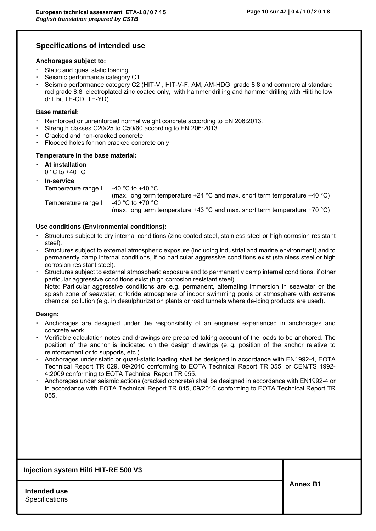# **Specifications of intended use**

#### **Anchorages subject to:**

- Static and quasi static loading.
- Seismic performance category C1
- Seismic performance category C2 (HIT-V , HIT-V-F, AM, AM-HDG grade 8.8 and commercial standard rod grade 8.8 electroplated zinc coated only, with hammer drilling and hammer drilling with Hilti hollow drill bit TE-CD, TE-YD).

#### **Base material:**

- Reinforced or unreinforced normal weight concrete according to EN 206:2013.
- Strength classes C20/25 to C50/60 according to EN 206:2013.
- Cracked and non-cracked concrete.
- Flooded holes for non cracked concrete only

#### **Temperature in the base material:**

- **At installation**   $0 °C$  to  $+40 °C$
- 

| $\cdot$ In-service                       |                                                                                                |
|------------------------------------------|------------------------------------------------------------------------------------------------|
| Temperature range I: $-40$ °C to +40 °C  |                                                                                                |
|                                          | (max. long term temperature +24 $^{\circ}$ C and max. short term temperature +40 $^{\circ}$ C) |
| Temperature range II: $-40$ °C to +70 °C |                                                                                                |
|                                          | (max. long term temperature +43 $^{\circ}$ C and max. short term temperature +70 $^{\circ}$ C) |

#### **Use conditions (Environmental conditions):**

- Structures subject to dry internal conditions (zinc coated steel, stainless steel or high corrosion resistant steel).
- Structures subject to external atmospheric exposure (including industrial and marine environment) and to permanently damp internal conditions, if no particular aggressive conditions exist (stainless steel or high corrosion resistant steel).
- Structures subject to external atmospheric exposure and to permanently damp internal conditions, if other particular aggressive conditions exist (high corrosion resistant steel). Note: Particular aggressive conditions are e.g. permanent, alternating immersion in seawater or the splash zone of seawater, chloride atmosphere of indoor swimming pools or atmosphere with extreme chemical pollution (e.g. in desulphurization plants or road tunnels where de-icing products are used).

#### **Design:**

- Anchorages are designed under the responsibility of an engineer experienced in anchorages and concrete work.
- Verifiable calculation notes and drawings are prepared taking account of the loads to be anchored. The position of the anchor is indicated on the design drawings (e. g. position of the anchor relative to reinforcement or to supports, etc.).
- Anchorages under static or quasi-static loading shall be designed in accordance with EN1992-4, EOTA Technical Report TR 029, 09/2010 conforming to EOTA Technical Report TR 055, or CEN/TS 1992- 4:2009 conforming to EOTA Technical Report TR 055.
- Anchorages under seismic actions (cracked concrete) shall be designed in accordance with EN1992-4 or in accordance with EOTA Technical Report TR 045, 09/2010 conforming to EOTA Technical Report TR 055.

#### **Injection system Hilti HIT-RE 500 V3**

**Intended use Specifications**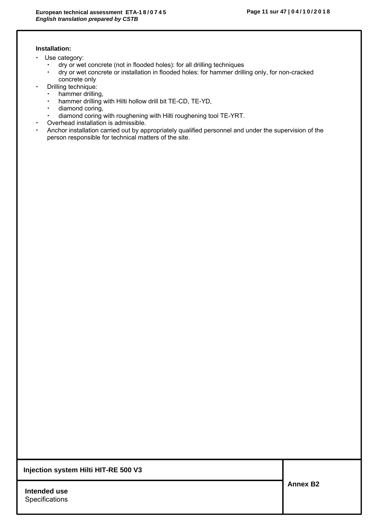### **Installation:**

- Use category:
	- dry or wet concrete (not in flooded holes): for all drilling techniques
	- dry or wet concrete or installation in flooded holes: for hammer drilling only, for non-cracked concrete only
- Drilling technique:
	- hammer drilling,
	- hammer drilling with Hilti hollow drill bit TE-CD, TE-YD,
	- diamond coring,
	- diamond coring with roughening with Hilti roughening tool TE-YRT.
- Overhead installation is admissible.
- Anchor installation carried out by appropriately qualified personnel and under the supervision of the person responsible for technical matters of the site.

**Injection system Hilti HIT-RE 500 V3**

**Intended use Specifications**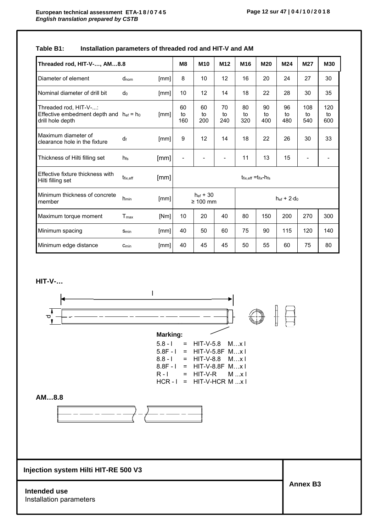# **Table B1: Installation parameters of threaded rod and HIT-V and AM**

| Threaded rod, HIT-V-, AM8.8                                                               |                  |      | M <sub>8</sub>                                                                      | M <sub>10</sub> | M <sub>12</sub> | M <sub>16</sub> | M20             | M24             | M27              | <b>M30</b>       |
|-------------------------------------------------------------------------------------------|------------------|------|-------------------------------------------------------------------------------------|-----------------|-----------------|-----------------|-----------------|-----------------|------------------|------------------|
| Diameter of element                                                                       | $d_{nom}$        | [mm] | 8                                                                                   | 10              | 12              | 16              | 20              | 24              | 27               | 30               |
| Nominal diameter of drill bit                                                             | do               | [mm] | 10                                                                                  | 12              | 14              | 18              | 22              | 28              | 30               | 35               |
| Threaded rod, HIT-V-:<br>Effective embedment depth and $h_{ef} = h_0$<br>drill hole depth |                  | [mm] | 60<br>to<br>160                                                                     | 60<br>to<br>200 | 70<br>to<br>240 | 80<br>to<br>320 | 90<br>to<br>400 | 96<br>to<br>480 | 108<br>to<br>540 | 120<br>to<br>600 |
| Maximum diameter of<br>clearance hole in the fixture                                      | df               | [mm] | 9                                                                                   | 12              | 14              | 18              | 22              | 26              | 30               | 33               |
| Thickness of Hilti filling set                                                            | h <sub>fs</sub>  | [mm] |                                                                                     |                 |                 | 11              | 13              | 15              |                  |                  |
| Effective fixture thickness with<br>Hilti filling set                                     | $t_{fix,eff}$    | [mm] | $t_{fix,eff} = t_{fix} - h_{fs}$                                                    |                 |                 |                 |                 |                 |                  |                  |
| Minimum thickness of concrete<br>member                                                   | h <sub>min</sub> | [mm] | $h_{\text{ef}} + 30$<br>$h_{\text{ef}}$ + 2 $\cdot$ d <sub>0</sub><br>$\geq 100$ mm |                 |                 |                 |                 |                 |                  |                  |
| Maximum torque moment                                                                     | T <sub>max</sub> | [Nm] | 10                                                                                  | 20              | 40              | 80              | 150             | 200             | 270              | 300              |
| Minimum spacing                                                                           | Smin             | [mm] | 40                                                                                  | 50              | 60              | 75              | 90              | 115             | 120              | 140              |
| Minimum edge distance                                                                     | $C_{min}$        | [mm] | 40                                                                                  | 45              | 45              | 50              | 55              | 60              | 75               | 80               |

**HIT-V-…** 

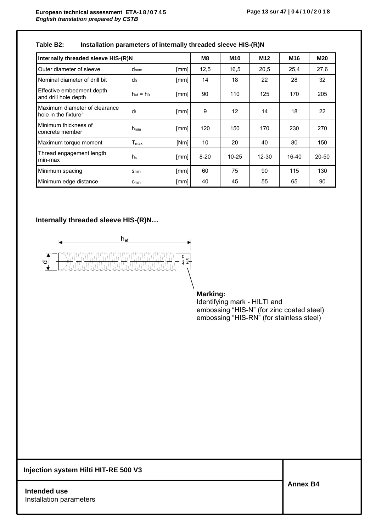| Table B2: | Installation parameters of internally threaded sleeve HIS-(R)N |  |  |
|-----------|----------------------------------------------------------------|--|--|
|-----------|----------------------------------------------------------------|--|--|

| Internally threaded sleeve HIS-(R)N                   |                  |      |          | M <sub>10</sub> | M <sub>12</sub> | M16     | <b>M20</b> |
|-------------------------------------------------------|------------------|------|----------|-----------------|-----------------|---------|------------|
| Outer diameter of sleeve                              | $d_{nom}$        | [mm] | 12,5     | 16,5            | 20,5            | 25,4    | 27,6       |
| Nominal diameter of drill bit                         | do               | [mm] | 14       | 18              | 22              | 28      | 32         |
| Effective embedment depth<br>and drill hole depth     | $hef = ho$       | [mm] | 90       | 110             | 125             | 170     | 205        |
| Maximum diameter of clearance<br>hole in the fixture) | df               | [mm] | 9        | 12              | 14              | 18      | 22         |
| Minimum thickness of<br>concrete member               | $h_{min}$        | [mm] | 120      | 150             | 170             | 230     | 270        |
| Maximum torque moment                                 | $T_{\text{max}}$ | [Nm] | 10       | 20              | 40              | 80      | 150        |
| Thread engagement length<br>min-max                   | h <sub>s</sub>   | [mm] | $8 - 20$ | $10 - 25$       | $12 - 30$       | $16-40$ | $20 - 50$  |
| Minimum spacing                                       | Smin             | [mm] | 60       | 75              | 90              | 115     | 130        |
| Minimum edge distance                                 | $C_{min}$        | [mm] | 40       | 45              | 55              | 65      | 90         |

## **Internally threaded sleeve HIS-(R)N…**



# **Marking:**

Identifying mark - HILTI and embossing "HIS-N" (for zinc coated steel) embossing "HIS-RN" (for stainless steel)

**Injection system Hilti HIT-RE 500 V3**

**Intended use**  Installation parameters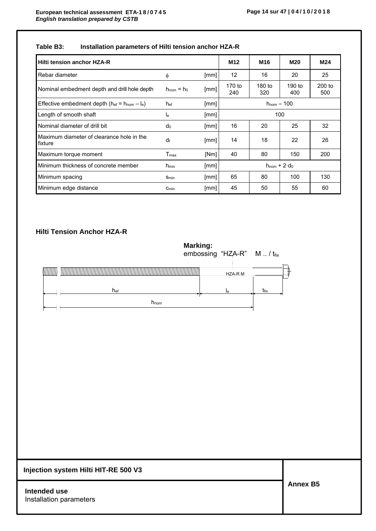# **Table B3: Installation parameters of Hilti tension anchor HZA-R**

| Hilti tension anchor HZA-R                             |                        |      | M <sub>12</sub>                | M <sub>16</sub> | M20           | M24           |
|--------------------------------------------------------|------------------------|------|--------------------------------|-----------------|---------------|---------------|
| Rebar diameter                                         | φ                      | [mm] | 12                             | 16              | 20            | 25            |
| Nominal embedment depth and drill hole depth           | $h_{\text{nom}} = h_0$ | [mm] | 170 to<br>240                  | 180 to<br>320   | 190 to<br>400 | 200 to<br>500 |
| Effective embedment depth ( $h_{ef} = h_{nom} - I_e$ ) | h <sub>ef</sub>        | [mm] | $h_{\text{nom}} - 100$         |                 |               |               |
| Length of smooth shaft                                 | le                     | [mm] | 100                            |                 |               |               |
| Nominal diameter of drill bit                          | $d_0$                  | [mm] | 16                             | 20              | 25            | 32            |
| Maximum diameter of clearance hole in the<br>fixture   | df                     | [mm] | 14                             | 18              | 22            | 26            |
| Maximum torque moment                                  | $T_{\sf max}$          | [Nm] | 40                             | 80              | 150           | 200           |
| Minimum thickness of concrete member                   | $h_{min}$              | [mm] | $h_{\text{nom}} + 2 \cdot d_0$ |                 |               |               |
| Minimum spacing                                        | Smin                   | [mm] | 65                             | 80              | 100           | 130           |
| Minimum edge distance                                  | Cmin                   | [mm] | 45                             | 50              | 55            | 60            |

# **Hilti Tension Anchor HZA-R**

**Marking:**  embossing "HZA-R" M .. / t<sub>fix</sub>



| Injection system Hilti HIT-RE 500 V3    |                 |
|-----------------------------------------|-----------------|
| Intended use<br>Installation parameters | <b>Annex B5</b> |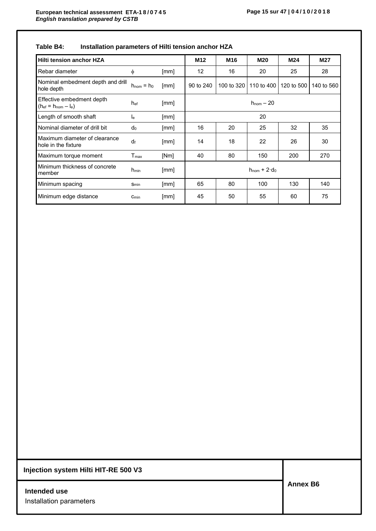| Table B4: | Installation parameters of Hilti tension anchor HZA |  |  |
|-----------|-----------------------------------------------------|--|--|
|-----------|-----------------------------------------------------|--|--|

| Hilti tension anchor HZA                                |                           |      | M <sub>12</sub>                | M <sub>16</sub> | <b>M20</b> | M24        | M27        |
|---------------------------------------------------------|---------------------------|------|--------------------------------|-----------------|------------|------------|------------|
| Rebar diameter                                          | $\phi$                    | [mm] | 12                             | 16              | 20         | 25         | 28         |
| Nominal embedment depth and drill<br>hole depth         | $h_{\text{nom}} = h_0$    | [mm] | 90 to 240                      | 100 to 320      | 110 to 400 | 120 to 500 | 140 to 560 |
| Effective embedment depth<br>$(h_{ef} = h_{nom} - I_e)$ | h <sub>ef</sub>           | [mm] | $h_{\text{nom}} - 20$          |                 |            |            |            |
| Length of smooth shaft                                  | $\mathsf{I}_{\mathsf{e}}$ | [mm] | 20                             |                 |            |            |            |
| Nominal diameter of drill bit                           | $d_0$                     | [mm] | 16                             | 20              | 25         | 32         | 35         |
| Maximum diameter of clearance<br>hole in the fixture    | df                        | [mm] | 14                             | 18              | 22         | 26         | 30         |
| Maximum torque moment                                   | $T_{\sf max}$             | [Nm] | 40                             | 80              | 150        | 200        | 270        |
| Minimum thickness of concrete<br>member                 | $h_{min}$                 | [mm] | $h_{\text{nom}} + 2 \cdot d_0$ |                 |            |            |            |
| Minimum spacing                                         | Smin                      | [mm] | 65                             | 80              | 100        | 130        | 140        |
| Minimum edge distance                                   | $C_{min}$                 | [mm] | 45                             | 50              | 55         | 60         | 75         |

**Intended use** Installation parameters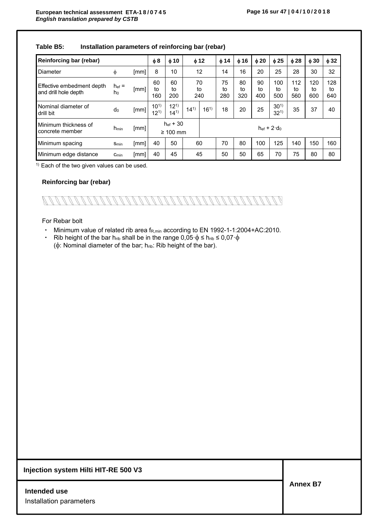| Reinforcing bar (rebar)                           |                         |      | $\phi$ 8                              | $\phi$ 10            |                     | $\phi$ 12       | $\phi$ 14       | $\phi$ 16       | $\phi$ 20       | $\phi$ 25            | $\phi$ 28        | $\phi$ 30        | $\phi$ 32        |
|---------------------------------------------------|-------------------------|------|---------------------------------------|----------------------|---------------------|-----------------|-----------------|-----------------|-----------------|----------------------|------------------|------------------|------------------|
| Diameter                                          | Φ                       | [mm] | 8                                     | 10                   |                     | 12              | 14              | 16              | 20              | 25                   | 28               | 30               | 32               |
| Effective embedment depth<br>and drill hole depth | $h_{\text{ef}} =$<br>ho | [mm] | 60<br>to<br>160                       | 60<br>to<br>200      |                     | 70<br>to<br>240 | 75<br>to<br>280 | 80<br>t٥<br>320 | 90<br>to<br>400 | 100<br>to<br>500     | 112<br>to<br>560 | 120<br>to<br>600 | 128<br>to<br>640 |
| Nominal diameter of<br>drill bit                  | do                      | [mm] | $10^{1}$<br>$12^{1}$                  | $12^{1}$<br>$14^{1}$ | $14^{1}$            | $16^{1}$        | 18              | 20              | 25              | $30^{1}$<br>$32^{1}$ | 35               | 37               | 40               |
| Minimum thickness of<br>concrete member           | <b>n</b> <sub>min</sub> | [mm] | $h_{\text{ef}} + 30$<br>$\geq 100$ mm |                      | $hef + 2 \cdot d_0$ |                 |                 |                 |                 |                      |                  |                  |                  |
| Minimum spacing                                   | $S_{min}$               | [mm] | 40                                    | 50                   |                     | 60              | 70              | 80              | 100             | 125                  | 140              | 150              | 160              |
| Minimum edge distance                             | $C_{min}$               | [mm] | 40                                    | 45                   |                     | 45              | 50              | 50              | 65              | 70                   | 75               | 80               | 80               |

### **Table B5: Installation parameters of reinforcing bar (rebar)**

 $1)$  Each of the two given values can be used.

#### **Reinforcing bar (rebar)**



#### For Rebar bolt

- Minimum value of related rib area f<sub>R,min</sub> according to EN 1992-1-1:2004+AC:2010.
- Rib height of the bar hrib shall be in the range  $0.05 \cdot \phi \le h_{\text{rib}} \le 0.07 \cdot \phi$  $(\phi:$  Nominal diameter of the bar; hrib: Rib height of the bar).

# **Injection system Hilti HIT-RE 500 V3**

# **Intended use** Installation parameters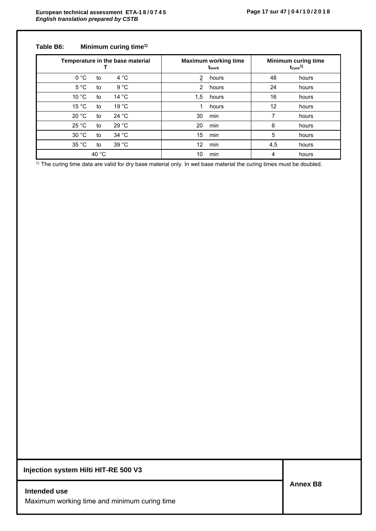## **Table B6: Minimum curing time1)**

| Temperature in the base material |                 |                 | <b>Maximum working time</b><br>t <sub>work</sub> | <b>Minimum curing time</b><br>$t_{\rm cure}$ <sup>1)</sup> |     |       |
|----------------------------------|-----------------|-----------------|--------------------------------------------------|------------------------------------------------------------|-----|-------|
| 0 °C                             | to              | $4^{\circ}C$    | $\overline{2}$                                   | hours                                                      | 48  | hours |
| $5^{\circ}$ C                    | to              | 9 °C            | 2                                                | hours                                                      | 24  | hours |
| 10 °C                            | to              | 14 $\degree$ C  | 1,5                                              | hours                                                      | 16  | hours |
| 15 °C                            | to              | 19 °C           | 1                                                | hours                                                      | 12  | hours |
| 20 °C                            | to              | 24 $^{\circ}$ C | 30                                               | min                                                        | 7   | hours |
| 25 °C                            | to              | 29 °C           | 20                                               | min                                                        | 6   | hours |
| 30 °C                            | to              | 34 °C           | 15                                               | min                                                        | 5   | hours |
| 35 °C                            | to              | 39 °C           | 12                                               | min                                                        | 4,5 | hours |
|                                  | 40 $^{\circ}$ C |                 | 10                                               | min                                                        | 4   | hours |

<sup>1)</sup> The curing time data are valid for dry base material only. In wet base material the curing times must be doubled.

**Injection system Hilti HIT-RE 500 V3**

**Intended use** Maximum working time and minimum curing time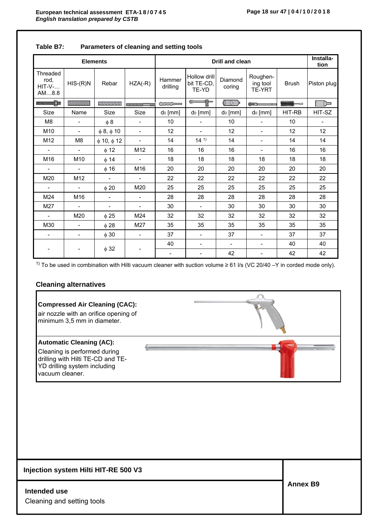|                                        |                          | <b>Elements</b>              |                          |                          |                                     | Installa-<br>tion        |                                |              |                          |
|----------------------------------------|--------------------------|------------------------------|--------------------------|--------------------------|-------------------------------------|--------------------------|--------------------------------|--------------|--------------------------|
| Threaded<br>rod,<br>$HIT-V-.$<br>AM8.8 | $HIS-(R)N$               | Rebar                        | $HZA(-R)$                | Hammer<br>drilling       | Hollow drill<br>bit TE-CD,<br>TE-YD | Diamond<br>coring        | Roughen-<br>ing tool<br>TE-YRT | <b>Brush</b> | Piston plug              |
| <b>MAXMANING</b> W                     | <b>DANIMINAMINAMINA</b>  | <b><i>VAYAYAYAYAYAYA</i></b> | ,,,,,,,,,,,,             | $\sim$                   | $\epsilon$<br>▜▛                    | 5 O )                    | د د سانده                      |              | ₪                        |
| Size                                   | Name                     | Size                         | <b>Size</b>              | d <sub>0</sub> [mm]      | $d_0$ [mm]                          | $d_0$ [mm]               | $d_0$ [mm]                     | HIT-RB       | HIT-SZ                   |
| M8                                     | $\overline{\phantom{a}}$ | $\phi$ 8                     | $\overline{\phantom{a}}$ | 10                       | $\overline{\phantom{a}}$            | 10                       | $\overline{\phantom{0}}$       | 10           | $\overline{\phantom{a}}$ |
| M <sub>10</sub>                        | $\overline{\phantom{a}}$ | $\phi$ 8, $\phi$ 10          | $\overline{\phantom{a}}$ | 12                       | $\overline{\phantom{a}}$            | 12                       | $\overline{\phantom{a}}$       | 12           | 12                       |
| M <sub>12</sub>                        | M <sub>8</sub>           | $\phi$ 10, $\phi$ 12         | $\blacksquare$           | 14                       | $14^{1}$                            | 14                       | $\overline{\phantom{a}}$       | 14           | 14                       |
|                                        | $\blacksquare$           | $\phi$ 12                    | M12                      | 16                       | 16                                  | 16                       | $\overline{\phantom{a}}$       | 16           | 16                       |
| M16                                    | M10                      | $\phi$ 14                    | $\overline{\phantom{a}}$ | 18                       | 18                                  | 18                       | 18                             | 18           | 18                       |
| $\blacksquare$                         | $\blacksquare$           | $\phi$ 16                    | M16                      | 20                       | 20                                  | 20                       | 20                             | 20           | 20                       |
| M20                                    | M12                      |                              | $\overline{\phantom{a}}$ | 22                       | 22                                  | 22                       | 22                             | 22           | 22                       |
| $\overline{\phantom{a}}$               | $\overline{\phantom{a}}$ | $\phi$ 20                    | M20                      | 25                       | 25                                  | 25                       | 25                             | 25           | 25                       |
| M24                                    | M16                      | $\blacksquare$               | $\blacksquare$           | 28                       | 28                                  | 28                       | 28                             | 28           | 28                       |
| M27                                    | $\blacksquare$           | $\blacksquare$               | $\overline{\phantom{a}}$ | 30                       | $\overline{\phantom{a}}$            | 30                       | 30                             | 30           | 30                       |
| $\overline{\phantom{a}}$               | M20                      | $\phi$ 25                    | M24                      | 32                       | 32                                  | 32                       | 32                             | 32           | 32                       |
| M30                                    | $\overline{\phantom{a}}$ | $\phi$ 28                    | M27                      | 35                       | 35                                  | 35                       | 35                             | 35           | 35                       |
| $\blacksquare$                         | $\overline{\phantom{a}}$ | $\phi$ 30                    | $\overline{\phantom{a}}$ | 37                       | $\overline{\phantom{0}}$            | 37                       | $\overline{\phantom{0}}$       | 37           | 37                       |
|                                        |                          |                              |                          | 40                       | $\overline{\phantom{a}}$            | $\overline{\phantom{a}}$ | $\overline{\phantom{a}}$       | 40           | 40                       |
|                                        |                          | $\phi$ 32                    |                          | $\overline{\phantom{a}}$ | $\overline{\phantom{0}}$            | 42                       | $\overline{\phantom{a}}$       | 42           | 42                       |

### **Table B7: Parameters of cleaning and setting tools**

<sup>1)</sup> To be used in combination with Hilti vacuum cleaner with suction volume ≥ 61 l/s (VC 20/40 –Y in corded mode only).

# **Cleaning alternatives**

# **Compressed Air Cleaning (CAC):**  air nozzle with an orifice opening of minimum 3,5 mm in diameter. **Automatic Cleaning (AC): Common** Cleaning is performed during drilling with Hilti TE-CD and TE-YD drilling system including vacuum cleaner. **Injection system Hilti HIT-RE 500 V3 Annex B9 Intended use** Cleaning and setting tools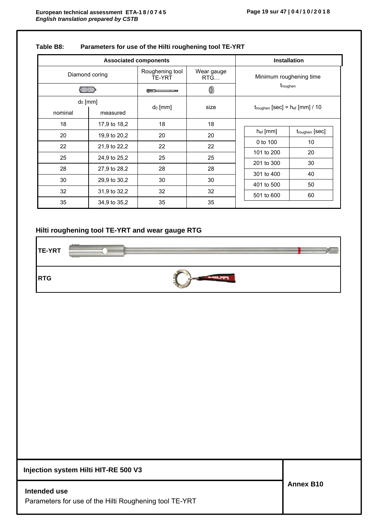|                     | <b>Associated components</b> |                                  |                   | <b>Installation</b>                                    |                         |                            |  |
|---------------------|------------------------------|----------------------------------|-------------------|--------------------------------------------------------|-------------------------|----------------------------|--|
| Diamond coring      |                              | Roughening tool<br><b>TE-YRT</b> | Wear gauge<br>RTG |                                                        | Minimum roughening time |                            |  |
|                     |                              | $-$                              | 0                 |                                                        | t <sub>roughen</sub>    |                            |  |
| d <sub>0</sub> [mm] |                              |                                  | size              |                                                        |                         |                            |  |
| nominal             | measured                     | $d_0$ [mm]                       |                   | $t_{\text{roughen}}$ [Sec] = $h_{\text{ef}}$ [mm] / 10 |                         |                            |  |
| 18                  | 17,9 to 18,2                 | 18                               | 18                |                                                        |                         |                            |  |
| 20                  | 19,9 to 20,2                 | 20                               | 20                |                                                        | $h_{ef}$ [mm]           | t <sub>roughen</sub> [sec] |  |
| 22                  | 21,9 to 22,2                 | 22                               | 22                |                                                        | 0 to 100                | 10                         |  |
| 25                  | 24,9 to 25,2                 | 25                               | 25                |                                                        | 101 to 200              | 20                         |  |
|                     |                              |                                  |                   |                                                        | 201 to 300              | 30                         |  |
| 28                  | 27,9 to 28,2                 | 28                               | 28                |                                                        | 301 to 400              | 40                         |  |
| 30                  | 29,9 to 30,2                 | 30                               | 30                |                                                        | 401 to 500              | 50                         |  |
| 32                  | 31,9 to 32,2                 | 32                               | 32                |                                                        | 501 to 600              | 60                         |  |
| 35                  | 34,9 to 35,2                 | 35                               | 35                |                                                        |                         |                            |  |

### **Table B8: Parameters for use of the Hilti roughening tool TE-YRT**

### **Hilti roughening tool TE-YRT and wear gauge RTG**

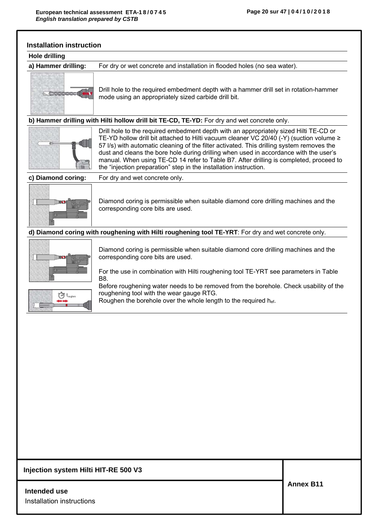| <b>Hole drilling</b>             |                                                                                                                                                                                                                                                                                                                                                                                                                                                                                                                                           |
|----------------------------------|-------------------------------------------------------------------------------------------------------------------------------------------------------------------------------------------------------------------------------------------------------------------------------------------------------------------------------------------------------------------------------------------------------------------------------------------------------------------------------------------------------------------------------------------|
| a) Hammer drilling:              | For dry or wet concrete and installation in flooded holes (no sea water).                                                                                                                                                                                                                                                                                                                                                                                                                                                                 |
| PODODO                           | Drill hole to the required embedment depth with a hammer drill set in rotation-hammer<br>mode using an appropriately sized carbide drill bit.                                                                                                                                                                                                                                                                                                                                                                                             |
|                                  | b) Hammer drilling with Hilti hollow drill bit TE-CD, TE-YD: For dry and wet concrete only.                                                                                                                                                                                                                                                                                                                                                                                                                                               |
|                                  | Drill hole to the required embedment depth with an appropriately sized Hilti TE-CD or<br>TE-YD hollow drill bit attached to Hilti vacuum cleaner VC 20/40 (-Y) (suction volume $\ge$<br>57 I/s) with automatic cleaning of the filter activated. This drilling system removes the<br>dust and cleans the bore hole during drilling when used in accordance with the user's<br>manual. When using TE-CD 14 refer to Table B7. After drilling is completed, proceed to<br>the "injection preparation" step in the installation instruction. |
| c) Diamond coring:               | For dry and wet concrete only.                                                                                                                                                                                                                                                                                                                                                                                                                                                                                                            |
|                                  | Diamond coring is permissible when suitable diamond core drilling machines and the<br>corresponding core bits are used.                                                                                                                                                                                                                                                                                                                                                                                                                   |
|                                  | d) Diamond coring with roughening with Hilti roughening tool TE-YRT: For dry and wet concrete only.                                                                                                                                                                                                                                                                                                                                                                                                                                       |
|                                  | Diamond coring is permissible when suitable diamond core drilling machines and the<br>corresponding core bits are used.<br>For the use in combination with Hilti roughening tool TE-YRT see parameters in Table<br>B8.                                                                                                                                                                                                                                                                                                                    |
| $\bigoplus$ t <sub>roughen</sub> | Before roughening water needs to be removed from the borehole. Check usability of the<br>roughening tool with the wear gauge RTG.<br>Roughen the borehole over the whole length to the required hef.                                                                                                                                                                                                                                                                                                                                      |

# **Intended use**

Installation instructions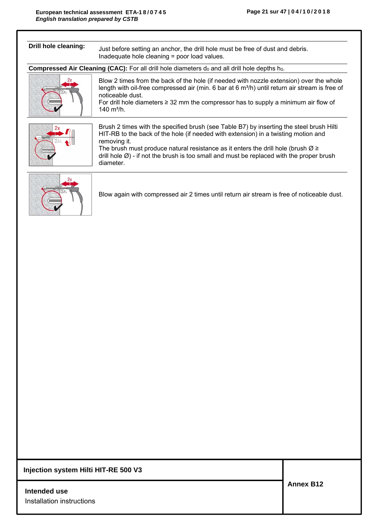| Drill hole cleaning: | Just before setting an anchor, the drill hole must be free of dust and debris.<br>Inadequate hole cleaning = poor load values.                                                                                                                                                                                                                                                                                          |
|----------------------|-------------------------------------------------------------------------------------------------------------------------------------------------------------------------------------------------------------------------------------------------------------------------------------------------------------------------------------------------------------------------------------------------------------------------|
|                      | <b>Compressed Air Cleaning (CAC):</b> For all drill hole diameters $d_0$ and all drill hole depths $h_0$ .                                                                                                                                                                                                                                                                                                              |
|                      | Blow 2 times from the back of the hole (if needed with nozzle extension) over the whole<br>length with oil-free compressed air (min. 6 bar at $6 \text{ m}^3$ /h) until return air stream is free of<br>noticeable dust.<br>For drill hole diameters $\geq$ 32 mm the compressor has to supply a minimum air flow of<br>140 m <sup>3</sup> /h.                                                                          |
|                      | Brush 2 times with the specified brush (see Table B7) by inserting the steel brush Hilti<br>HIT-RB to the back of the hole (if needed with extension) in a twisting motion and<br>removing it.<br>The brush must produce natural resistance as it enters the drill hole (brush $\varnothing \geq 1$<br>drill hole $\emptyset$ ) - if not the brush is too small and must be replaced with the proper brush<br>diameter. |
|                      | Blow again with compressed air 2 times until return air stream is free of noticeable dust.                                                                                                                                                                                                                                                                                                                              |

**Intended use** Installation instructions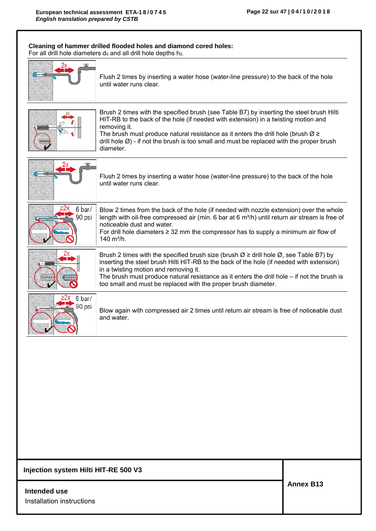|                         | Cleaning of hammer drilled flooded holes and diamond cored holes:<br>For all drill hole diameters do and all drill hole depths ho.                                                                                                                                                                                                                                                                                      |
|-------------------------|-------------------------------------------------------------------------------------------------------------------------------------------------------------------------------------------------------------------------------------------------------------------------------------------------------------------------------------------------------------------------------------------------------------------------|
|                         | Flush 2 times by inserting a water hose (water-line pressure) to the back of the hole<br>until water runs clear.                                                                                                                                                                                                                                                                                                        |
|                         | Brush 2 times with the specified brush (see Table B7) by inserting the steel brush Hilti<br>HIT-RB to the back of the hole (if needed with extension) in a twisting motion and<br>removing it.<br>The brush must produce natural resistance as it enters the drill hole (brush $\varnothing \geq 1$<br>drill hole $\emptyset$ ) - if not the brush is too small and must be replaced with the proper brush<br>diameter. |
|                         | Flush 2 times by inserting a water hose (water-line pressure) to the back of the hole<br>until water runs clear.                                                                                                                                                                                                                                                                                                        |
| 6 bar/<br>90 psi        | Blow 2 times from the back of the hole (if needed with nozzle extension) over the whole<br>length with oil-free compressed air (min. 6 bar at 6 $m^3/h$ ) until return air stream is free of<br>noticeable dust and water.<br>For drill hole diameters $\geq$ 32 mm the compressor has to supply a minimum air flow of<br>140 m <sup>3</sup> /h.                                                                        |
|                         | Brush 2 times with the specified brush size (brush $\varnothing \ge$ drill hole $\varnothing$ , see Table B7) by<br>inserting the steel brush Hilti HIT-RB to the back of the hole (if needed with extension)<br>in a twisting motion and removing it.<br>The brush must produce natural resistance as it enters the drill hole - if not the brush is<br>too small and must be replaced with the proper brush diameter. |
| 6 bar/<br>90 psi<br>VCO | Blow again with compressed air 2 times until return air stream is free of noticeable dust<br>and water.                                                                                                                                                                                                                                                                                                                 |
|                         |                                                                                                                                                                                                                                                                                                                                                                                                                         |

# **Intended use**

Installation instructions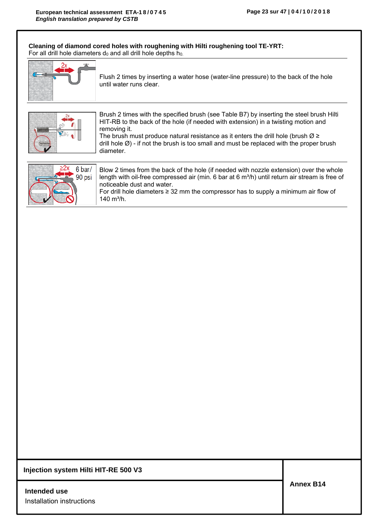**Cleaning of diamond cored holes with roughening with Hilti roughening tool TE-YRT:**  For all drill hole diameters  $d_0$  and all drill hole depths  $h_0$ .

|                  | Flush 2 times by inserting a water hose (water-line pressure) to the back of the hole<br>until water runs clear.                                                                                                                                                                                                                                                                                                        |
|------------------|-------------------------------------------------------------------------------------------------------------------------------------------------------------------------------------------------------------------------------------------------------------------------------------------------------------------------------------------------------------------------------------------------------------------------|
|                  | Brush 2 times with the specified brush (see Table B7) by inserting the steel brush Hilti<br>HIT-RB to the back of the hole (if needed with extension) in a twisting motion and<br>removing it.<br>The brush must produce natural resistance as it enters the drill hole (brush $\varnothing \geq 1$<br>drill hole $\emptyset$ ) - if not the brush is too small and must be replaced with the proper brush<br>diameter. |
| 6 bar/<br>90 psi | Blow 2 times from the back of the hole (if needed with nozzle extension) over the whole<br>length with oil-free compressed air (min. 6 bar at $6 \text{ m}^3$ /h) until return air stream is free of<br>noticeable dust and water.<br>For drill hole diameters $\geq$ 32 mm the compressor has to supply a minimum air flow of<br>140 $m^3/h$ .                                                                         |

### **Injection system Hilti HIT-RE 500 V3**

**Intended use** Installation instructions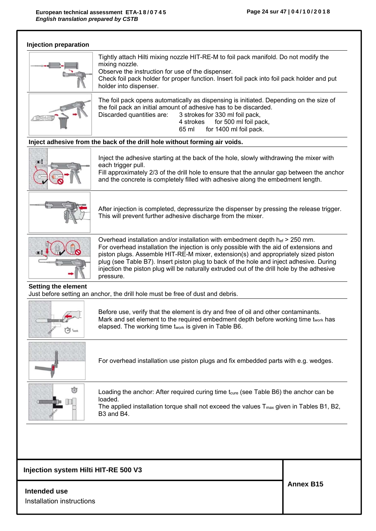

### **Intended use**

Installation instructions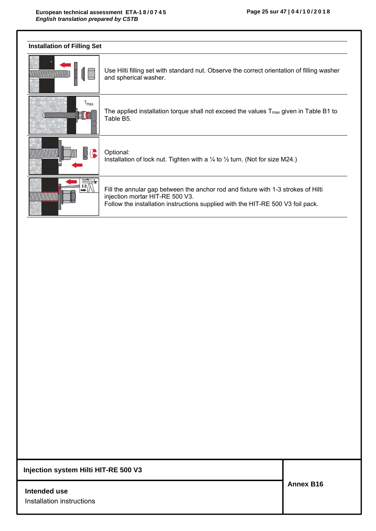| <b>Installation of Filling Set</b> |                                                                                                                                                                                                         |
|------------------------------------|---------------------------------------------------------------------------------------------------------------------------------------------------------------------------------------------------------|
|                                    | Use Hilti filling set with standard nut. Observe the correct orientation of filling washer<br>and spherical washer.                                                                                     |
| $\mathsf{r}_{\mathsf{max}}$        | The applied installation torque shall not exceed the values $T_{\text{max}}$ given in Table B1 to<br>Table B5.                                                                                          |
|                                    | Optional:<br>Installation of lock nut. Tighten with a $\frac{1}{4}$ to $\frac{1}{2}$ turn. (Not for size M24.)                                                                                          |
| $\rightarrow \mathbb{R}$           | Fill the annular gap between the anchor rod and fixture with 1-3 strokes of Hilti<br>injection mortar HIT-RE 500 V3.<br>Follow the installation instructions supplied with the HIT-RE 500 V3 foil pack. |

**Intended use** Installation instructions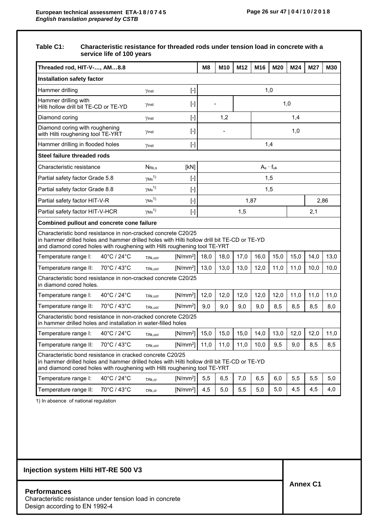### **Table C1: Characteristic resistance for threaded rods under tension load in concrete with a service life of 100 years**

| Threaded rod, HIT-V-, AM8.8                                                                                                                                                                                                               |                                      |                                                                                                                                                                                                                                                                                                                                                                                                                                                                  | M <sub>8</sub> | M10  | M <sub>12</sub> | M16  | M20                | M24  | M27  | M30  |  |
|-------------------------------------------------------------------------------------------------------------------------------------------------------------------------------------------------------------------------------------------|--------------------------------------|------------------------------------------------------------------------------------------------------------------------------------------------------------------------------------------------------------------------------------------------------------------------------------------------------------------------------------------------------------------------------------------------------------------------------------------------------------------|----------------|------|-----------------|------|--------------------|------|------|------|--|
| <b>Installation safety factor</b>                                                                                                                                                                                                         |                                      |                                                                                                                                                                                                                                                                                                                                                                                                                                                                  |                |      |                 |      |                    |      |      |      |  |
| Hammer drilling                                                                                                                                                                                                                           | Yinst                                | $[\cdot]$                                                                                                                                                                                                                                                                                                                                                                                                                                                        |                |      |                 | 1,0  |                    |      |      |      |  |
| Hammer drilling with<br>Hilti hollow drill bit TE-CD or TE-YD                                                                                                                                                                             | Yinst                                | $[\cdot]$                                                                                                                                                                                                                                                                                                                                                                                                                                                        |                |      |                 |      |                    | 1,0  |      |      |  |
| Diamond coring                                                                                                                                                                                                                            | Yinst                                | $[\cdot] % \centering \includegraphics[width=0.9\textwidth]{images/TrDiS/N-Architecture.png} % \caption{The first two different values of $N$ in the left and right.} \label{TrDiS/N-Architecture} %$                                                                                                                                                                                                                                                            |                | 1,2  |                 |      |                    |      |      |      |  |
| Diamond coring with roughening<br>with Hilti roughening tool TE-YRT                                                                                                                                                                       | γinst                                | $[ - ]$                                                                                                                                                                                                                                                                                                                                                                                                                                                          |                |      |                 | 1,0  |                    |      |      |      |  |
| Hammer drilling in flooded holes                                                                                                                                                                                                          | Yinst                                | $[ \cdot ]$                                                                                                                                                                                                                                                                                                                                                                                                                                                      |                |      |                 | 1,4  |                    |      |      |      |  |
| Steel failure threaded rods                                                                                                                                                                                                               |                                      |                                                                                                                                                                                                                                                                                                                                                                                                                                                                  |                |      |                 |      |                    |      |      |      |  |
| Characteristic resistance                                                                                                                                                                                                                 | N <sub>Rk.s</sub>                    | [KN]                                                                                                                                                                                                                                                                                                                                                                                                                                                             |                |      |                 |      | $A_s \cdot f_{uk}$ |      |      |      |  |
| Partial safety factor Grade 5.8                                                                                                                                                                                                           | $\gamma$ Ms <sup>1)</sup>            | $[\cdot]$                                                                                                                                                                                                                                                                                                                                                                                                                                                        |                |      |                 |      | 1,5                |      |      |      |  |
| Partial safety factor Grade 8.8                                                                                                                                                                                                           | $\gamma$ <sub>Ms</sub> <sup>1)</sup> | $[\cdot]$                                                                                                                                                                                                                                                                                                                                                                                                                                                        |                |      |                 | 1,5  |                    |      |      |      |  |
| Partial safety factor HIT-V-R                                                                                                                                                                                                             | $\gamma$ Ms <sup>1)</sup>            | $[\cdot] % \centering \includegraphics[width=0.9\textwidth]{images/TrDiS/N-Architecture.png} % \caption{The first two different values of $N=1000$ and $N=1000$ (black) and $N=1000$ (black) and $N=1000$ (black) and $N=1000$ (black) and $N=1000$ (black) and $N=1000$ (black) and $N=1000$ (black) and $N=1000$ (black) and $N=1000$ (black) and $N=1000$ (black) and $N=1000$ (black) and $N=1000$ (black) and $N=1000$ (black) and $N=1000$ (black) and $N$ |                |      | 1,87            |      |                    |      | 2,86 |      |  |
| Partial safety factor HIT-V-HCR                                                                                                                                                                                                           | $\gamma$ Ms <sup>1)</sup>            | $[ \cdot ]$                                                                                                                                                                                                                                                                                                                                                                                                                                                      |                |      | 1,5             |      |                    |      | 2,1  |      |  |
| Combined pullout and concrete cone failure                                                                                                                                                                                                |                                      |                                                                                                                                                                                                                                                                                                                                                                                                                                                                  |                |      |                 |      |                    |      |      |      |  |
| Characteristic bond resistance in non-cracked concrete C20/25<br>in hammer drilled holes and hammer drilled holes with Hilti hollow drill bit TE-CD or TE-YD<br>and diamond cored holes with roughening with Hilti roughening tool TE-YRT |                                      |                                                                                                                                                                                                                                                                                                                                                                                                                                                                  |                |      |                 |      |                    |      |      |      |  |
| 40°C / 24°C<br>Temperature range I:                                                                                                                                                                                                       | $TRk,$ ucr                           | $[N/mm^2]$                                                                                                                                                                                                                                                                                                                                                                                                                                                       | 18,0           | 18,0 | 17,0            | 16,0 | 15,0               | 15,0 | 14,0 | 13,0 |  |
| 70°C / 43°C<br>Temperature range II:                                                                                                                                                                                                      | $TRk,$ ucr                           | $[N/mm^2]$                                                                                                                                                                                                                                                                                                                                                                                                                                                       | 13,0           | 13,0 | 13,0            | 12,0 | 11,0               | 11,0 | 10,0 | 10,0 |  |
| Characteristic bond resistance in non-cracked concrete C20/25<br>in diamond cored holes.                                                                                                                                                  |                                      |                                                                                                                                                                                                                                                                                                                                                                                                                                                                  |                |      |                 |      |                    |      |      |      |  |
| 40°C / 24°C<br>Temperature range I:                                                                                                                                                                                                       | $TRk,$ ucr                           | $[N/mm^2]$                                                                                                                                                                                                                                                                                                                                                                                                                                                       | 12,0           | 12,0 | 12,0            | 12,0 | 12,0               | 11,0 | 11,0 | 11,0 |  |
| 70°C / 43°C<br>Temperature range II:                                                                                                                                                                                                      | $TRk,$ ucr                           | $[N/mm^2]$                                                                                                                                                                                                                                                                                                                                                                                                                                                       | 9,0            | 9,0  | 9,0             | 9,0  | 8,5                | 8,5  | 8,5  | 8,0  |  |
| Characteristic bond resistance in non-cracked concrete C20/25<br>in hammer drilled holes and installation in water-filled holes                                                                                                           |                                      |                                                                                                                                                                                                                                                                                                                                                                                                                                                                  |                |      |                 |      |                    |      |      |      |  |
| 40°C / 24°C<br>Temperature range I:                                                                                                                                                                                                       | $TRk,$ ucr                           | $[N/mm^2]$                                                                                                                                                                                                                                                                                                                                                                                                                                                       | 15,0           | 15,0 | 15,0            | 14,0 | 13,0               | 12,0 | 12,0 | 11,0 |  |
| Temperature range II:<br>70°C / 43°C                                                                                                                                                                                                      | $TRk,$ ucr                           | $[N/mm^2]$                                                                                                                                                                                                                                                                                                                                                                                                                                                       | 11,0           | 11,0 | 11,0            | 10,0 | 9,5                | 9,0  | 8,5  | 8,5  |  |
| Characteristic bond resistance in cracked concrete C20/25<br>in hammer drilled holes and hammer drilled holes with Hilti hollow drill bit TE-CD or TE-YD<br>and diamond cored holes with roughening with Hilti roughening tool TE-YRT     |                                      |                                                                                                                                                                                                                                                                                                                                                                                                                                                                  |                |      |                 |      |                    |      |      |      |  |
| 40°C / 24°C<br>Temperature range I:                                                                                                                                                                                                       | TRk, cr                              | $[N/mm^2]$                                                                                                                                                                                                                                                                                                                                                                                                                                                       | 5,5            | 6,5  | 7,0             | 6,5  | 6,0                | 5,5  | 5,5  | 5,0  |  |
| 70°C / 43°C<br>Temperature range II:                                                                                                                                                                                                      | TRk, cr                              | $[N/mm^2]$                                                                                                                                                                                                                                                                                                                                                                                                                                                       | 4,5            | 5,0  | 5,5             | 5,0  | 5,0                | 4,5  | 4,5  | 4,0  |  |

1) In absence of national regulation

## **Injection system Hilti HIT-RE 500 V3**

#### **Performances**

Characteristic resistance under tension load in concrete Design according to EN 1992-4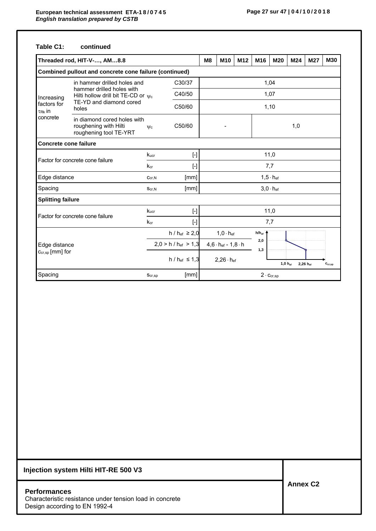### **Table C1: continued**

|                                      | Threaded rod, HIT-V-, AM8.8                                                    |                                                          |                                 | M8                                                        | M <sub>10</sub> | M12 | M <sub>16</sub> | M20                         | M24 | M27 | M30 |
|--------------------------------------|--------------------------------------------------------------------------------|----------------------------------------------------------|---------------------------------|-----------------------------------------------------------|-----------------|-----|-----------------|-----------------------------|-----|-----|-----|
|                                      | Combined pullout and concrete cone failure (continued)                         |                                                          |                                 |                                                           |                 |     |                 |                             |     |     |     |
|                                      | in hammer drilled holes and                                                    |                                                          | C30/37                          | 1,04                                                      |                 |     |                 |                             |     |     |     |
| Increasing                           | hammer drilled holes with<br>Hilti hollow drill bit TE-CD or $\psi_c$          |                                                          | C40/50                          |                                                           | 1,07            |     |                 |                             |     |     |     |
| factors for<br>$\tau_{\text{Rk}}$ in | TE-YD and diamond cored<br>holes                                               |                                                          | C50/60                          |                                                           |                 |     |                 | 1,10                        |     |     |     |
| concrete                             | in diamond cored holes with<br>roughening with Hilti<br>roughening tool TE-YRT | $\Psi$ c                                                 | C50/60                          |                                                           |                 |     |                 | 1,0                         |     |     |     |
| <b>Concrete cone failure</b>         |                                                                                |                                                          |                                 |                                                           |                 |     |                 |                             |     |     |     |
| Factor for concrete cone failure     |                                                                                | kucr                                                     | $[$                             |                                                           |                 |     |                 | 11,0                        |     |     |     |
|                                      |                                                                                | $k_{cr}$                                                 | $[ - ]$                         |                                                           |                 |     |                 | 7,7                         |     |     |     |
| Edge distance                        |                                                                                | Ccr, N                                                   | [mm]                            |                                                           |                 |     |                 | $1,5 \cdot h_{\text{ef}}$   |     |     |     |
| Spacing                              |                                                                                | Scr, N                                                   | [mm]                            |                                                           |                 |     |                 | $3,0 \cdot h_{\text{ef}}$   |     |     |     |
| <b>Splitting failure</b>             |                                                                                |                                                          |                                 |                                                           |                 |     |                 |                             |     |     |     |
|                                      | Factor for concrete cone failure                                               | Kucr                                                     | $[$                             |                                                           |                 |     |                 | 11,0                        |     |     |     |
|                                      |                                                                                | $k_{cr}$                                                 | $[\cdot]$                       |                                                           |                 |     |                 | 7,7                         |     |     |     |
|                                      |                                                                                | $h / h_{ef} \ge 2,0$<br>$1,0 \cdot h_{ef}$<br>$h/h_{ef}$ |                                 |                                                           |                 |     |                 |                             |     |     |     |
| Edge distance                        |                                                                                |                                                          | $2,0 > h / h_{\text{ef}} > 1,3$ | 2,0<br>$4,6 \cdot h$ <sub>ef</sub> - $1,8 \cdot h$<br>1,3 |                 |     |                 |                             |     |     |     |
| Ccr,sp [mm] for                      |                                                                                |                                                          | $h / h_{ef} \le 1,3$            | $2,26 \cdot h_{\text{ef}}$<br>$1,0 h_{\text{ef}}$         |                 |     | 2,26 hef        | $\mathbf{c}_{\text{cr,sp}}$ |     |     |     |
| Spacing                              |                                                                                | $S_{cr,sp}$                                              | [mm]                            |                                                           |                 |     |                 | $2 \cdot c_{cr,sp}$         |     |     |     |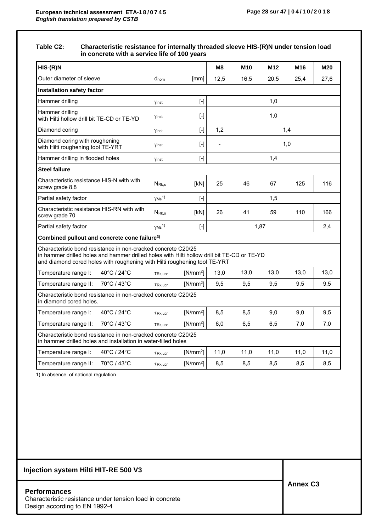### **Table C2: Characteristic resistance for internally threaded sleeve HIS-(R)N under tension load in concrete with a service life of 100 years**

| $HIS-(R)N$                                                                                                                                                                                                                                |                                       |            | M8                       | M <sub>10</sub>        | M <sub>12</sub> | M16  | <b>M20</b> |  |
|-------------------------------------------------------------------------------------------------------------------------------------------------------------------------------------------------------------------------------------------|---------------------------------------|------------|--------------------------|------------------------|-----------------|------|------------|--|
| Outer diameter of sleeve                                                                                                                                                                                                                  | $d_{nom}$                             | [mm]       | 12,5                     | 16,5                   | 20,5            | 25,4 | 27,6       |  |
| <b>Installation safety factor</b>                                                                                                                                                                                                         |                                       |            |                          |                        |                 |      |            |  |
| Hammer drilling                                                                                                                                                                                                                           | Yinst                                 | $[ - ]$    |                          |                        | 1,0             |      |            |  |
| Hammer drilling<br>with Hilti hollow drill bit TE-CD or TE-YD                                                                                                                                                                             | Yinst                                 | $[\cdot]$  |                          | 1,0                    |                 |      |            |  |
| Diamond coring                                                                                                                                                                                                                            | Yinst                                 | $[$        | 1,2                      |                        |                 | 1,4  |            |  |
| Diamond coring with roughening<br>with Hilti roughening tool TE-YRT                                                                                                                                                                       | Yinst                                 | $[\cdot]$  | $\frac{1}{2}$            | 1,0                    |                 |      |            |  |
| Hammer drilling in flooded holes                                                                                                                                                                                                          | Yinst                                 | $[\cdot]$  |                          | 1,4                    |                 |      |            |  |
| Steel failure                                                                                                                                                                                                                             |                                       |            |                          |                        |                 |      |            |  |
| Characteristic resistance HIS-N with with<br>screw grade 8.8                                                                                                                                                                              | N <sub>Rk.s</sub>                     | [kN]       | 25                       | 46                     | 67              | 125  | 116        |  |
| Partial safety factor                                                                                                                                                                                                                     | $\gamma$ Ms <sup>1)</sup>             | $[\cdot]$  |                          | 1,5                    |                 |      |            |  |
| Characteristic resistance HIS-RN with with<br>screw grade 70                                                                                                                                                                              | N <sub>Rk.s</sub>                     | [kN]       | 26                       | 41<br>59<br>110<br>166 |                 |      |            |  |
| Partial safety factor                                                                                                                                                                                                                     | $\gamma$ <sub>Ms</sub> <sup>1</sup> ) | $[\cdot]$  |                          | 1,87<br>2,4            |                 |      |            |  |
| Combined pullout and concrete cone failure <sup>3)</sup>                                                                                                                                                                                  |                                       |            |                          |                        |                 |      |            |  |
| Characteristic bond resistance in non-cracked concrete C20/25<br>in hammer drilled holes and hammer drilled holes with Hilti hollow drill bit TE-CD or TE-YD<br>and diamond cored holes with roughening with Hilti roughening tool TE-YRT |                                       |            |                          |                        |                 |      |            |  |
| 40°C / 24°C<br>Temperature range I:                                                                                                                                                                                                       | $TRk,$ ucr                            | $[N/mm^2]$ | 13,0                     | 13,0                   | 13,0            | 13,0 | 13,0       |  |
| 70°C / 43°C<br>Temperature range II:                                                                                                                                                                                                      | TRk.ucr                               | $[N/mm^2]$ | 9,5                      | 9,5                    | 9,5             | 9,5  | 9,5        |  |
| Characteristic bond resistance in non-cracked concrete C20/25<br>in diamond cored holes.                                                                                                                                                  |                                       |            |                          |                        |                 |      |            |  |
| 40°C / 24°C<br>Temperature range I:                                                                                                                                                                                                       | TRk.ucr                               | $[N/mm^2]$ | 8,5                      | 8,5                    | 9,0             | 9,0  | 9,5        |  |
| 70°C / 43°C<br>Temperature range II:                                                                                                                                                                                                      | $TRk,$ ucr                            | $[N/mm^2]$ | 6,0<br>6,5<br>6,5<br>7,0 |                        |                 |      |            |  |
| Characteristic bond resistance in non-cracked concrete C20/25<br>in hammer drilled holes and installation in water-filled holes                                                                                                           |                                       |            |                          |                        |                 |      |            |  |
| 40°C / 24°C<br>Temperature range I:                                                                                                                                                                                                       | $TRk,$ ucr                            | $[N/mm^2]$ | 11,0                     | 11,0                   | 11,0            | 11,0 | 11,0       |  |
| 70°C / 43°C<br>Temperature range II:                                                                                                                                                                                                      | TRk.ucr                               | $[N/mm^2]$ | 8,5                      | 8,5                    | 8,5             | 8,5  | 8,5        |  |

1) In absence of national regulation

## **Injection system Hilti HIT-RE 500 V3**

#### **Performances**

Characteristic resistance under tension load in concrete Design according to EN 1992-4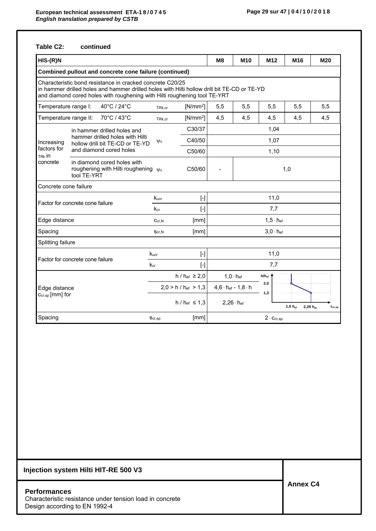### **Table C2: continued**

| $HIS-(R)N$                        |                                                                                                                                                                                                                                       |            |                                 | M8                         | M <sub>10</sub>                    | M <sub>12</sub>           | M16          |                      | M20                         |  |  |
|-----------------------------------|---------------------------------------------------------------------------------------------------------------------------------------------------------------------------------------------------------------------------------------|------------|---------------------------------|----------------------------|------------------------------------|---------------------------|--------------|----------------------|-----------------------------|--|--|
|                                   | Combined pullout and concrete cone failure (continued)                                                                                                                                                                                |            |                                 |                            |                                    |                           |              |                      |                             |  |  |
|                                   | Characteristic bond resistance in cracked concrete C20/25<br>in hammer drilled holes and hammer drilled holes with Hilti hollow drill bit TE-CD or TE-YD<br>and diamond cored holes with roughening with Hilti roughening tool TE-YRT |            |                                 |                            |                                    |                           |              |                      |                             |  |  |
| Temperature range I:              | 40°C / 24°C                                                                                                                                                                                                                           | TRk, cr    | $[N/mm^2]$                      | 5,5                        | 5,5                                | 5,5                       | 5,5          |                      | 5,5                         |  |  |
| Temperature range II:             | 70°C / 43°C                                                                                                                                                                                                                           | TRk, cr    | $[N/mm^2]$                      | 4,5                        | 4,5                                | 4,5                       | 4,5          |                      | 4,5                         |  |  |
|                                   | in hammer drilled holes and                                                                                                                                                                                                           |            | C30/37                          |                            |                                    | 1,04                      |              |                      |                             |  |  |
| Increasing                        | hammer drilled holes with Hilti<br>hollow drill bit TE-CD or TE-YD                                                                                                                                                                    | $\psi$ c   | C40/50                          |                            |                                    | 1,07                      |              |                      |                             |  |  |
| factors for<br>τ <sub>Rk</sub> in | and diamond cored holes                                                                                                                                                                                                               |            | C50/60                          |                            |                                    | 1,10                      |              |                      |                             |  |  |
| concrete                          | in diamond cored holes with<br>roughening with Hilti roughening $\psi_c$<br>tool TE-YRT                                                                                                                                               |            | C50/60                          | 1,0                        |                                    |                           |              |                      |                             |  |  |
| Concrete cone failure             |                                                                                                                                                                                                                                       |            |                                 |                            |                                    |                           |              |                      |                             |  |  |
|                                   | Factor for concrete cone failure                                                                                                                                                                                                      | Kucr       | $[\cdot]$                       | 11,0                       |                                    |                           |              |                      |                             |  |  |
|                                   |                                                                                                                                                                                                                                       | kcr        | $[ - ]$                         |                            |                                    | 7,7                       |              |                      |                             |  |  |
| Edge distance                     |                                                                                                                                                                                                                                       | $C_{cr,N}$ | [mm]                            |                            |                                    | $1,5 \cdot h_{\text{ef}}$ |              |                      |                             |  |  |
| Spacing                           |                                                                                                                                                                                                                                       | Scr, N     | [mm]                            |                            |                                    | $3,0 \cdot h_{ef}$        |              |                      |                             |  |  |
| Splitting failure                 |                                                                                                                                                                                                                                       |            |                                 |                            |                                    |                           |              |                      |                             |  |  |
|                                   | Factor for concrete cone failure                                                                                                                                                                                                      | Kucr       | $[\cdot]$                       |                            |                                    | 11,0                      |              |                      |                             |  |  |
|                                   |                                                                                                                                                                                                                                       | $k_{cr}$   | $\left[\cdot\right]$            |                            |                                    | 7,7                       |              |                      |                             |  |  |
|                                   |                                                                                                                                                                                                                                       |            | h / $h_{ef}$ ≥ 2,0              |                            | $1,0 \cdot h_{\text{ef}}$          | $h/h_{ef}$                |              |                      |                             |  |  |
| Edge distance                     |                                                                                                                                                                                                                                       |            | $2,0 > h / h_{\text{ef}} > 1,3$ |                            | $4,6 \cdot h_{ef}$ - $1,8 \cdot h$ | 2,0<br>1,3                |              |                      |                             |  |  |
|                                   | $C_{cr,sp}$ [mm] for                                                                                                                                                                                                                  |            | $h / h_{\text{ef}} \leq 1.3$    | $2,26 \cdot h_{\text{ef}}$ |                                    |                           | $1,0 h_{ef}$ | $2,26 h_{\text{ef}}$ | $\mathbf{c}_{\text{cr,sp}}$ |  |  |
| Spacing                           |                                                                                                                                                                                                                                       | Scr,sp     | [mm]                            |                            |                                    | $2 \cdot C_{cr,SD}$       |              |                      |                             |  |  |

# **Injection system Hilti HIT-RE 500 V3**

### **Performances**  Characteristic resistance under tension load in concrete Design according to EN 1992-4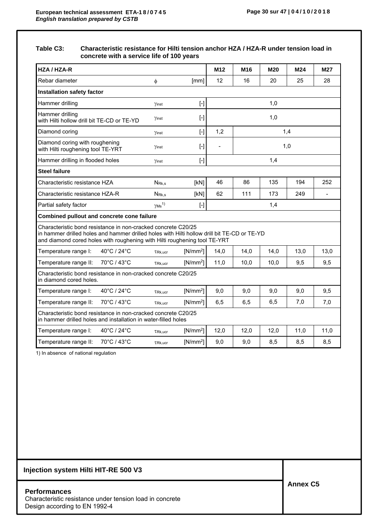### **Table C3: Characteristic resistance for Hilti tension anchor HZA / HZA-R under tension load in concrete with a service life of 100 years**

| HZA / HZA-R                                                                                                                                                                                                                               |                                      |                                                                                                                                                                                                        | M <sub>12</sub> | M <sub>16</sub>                     | M20  | M24  | <b>M27</b> |  |
|-------------------------------------------------------------------------------------------------------------------------------------------------------------------------------------------------------------------------------------------|--------------------------------------|--------------------------------------------------------------------------------------------------------------------------------------------------------------------------------------------------------|-----------------|-------------------------------------|------|------|------------|--|
| Rebar diameter                                                                                                                                                                                                                            | $\phi$                               | [mm]                                                                                                                                                                                                   | 12              | 16                                  | 20   | 25   | 28         |  |
| <b>Installation safety factor</b>                                                                                                                                                                                                         |                                      |                                                                                                                                                                                                        |                 |                                     |      |      |            |  |
| Hammer drilling                                                                                                                                                                                                                           | Yinst                                | $[ \cdot ]$                                                                                                                                                                                            |                 |                                     | 1,0  |      |            |  |
| Hammer drilling<br>with Hilti hollow drill bit TE-CD or TE-YD                                                                                                                                                                             | Yinst                                | $\left[\cdot\right]$                                                                                                                                                                                   |                 | 1,0                                 |      |      |            |  |
| Diamond coring                                                                                                                                                                                                                            | Yinst                                | $[\cdot]$                                                                                                                                                                                              | 1,2             | 1,4                                 |      |      |            |  |
| Diamond coring with roughening<br>with Hilti roughening tool TE-YRT                                                                                                                                                                       | Yinst                                | $[\cdot]$                                                                                                                                                                                              |                 | 1,0                                 |      |      |            |  |
| Hammer drilling in flooded holes                                                                                                                                                                                                          | Yinst                                | $[ - ]$                                                                                                                                                                                                |                 | 1,4                                 |      |      |            |  |
| <b>Steel failure</b>                                                                                                                                                                                                                      |                                      |                                                                                                                                                                                                        |                 |                                     |      |      |            |  |
| Characteristic resistance HZA                                                                                                                                                                                                             | N <sub>Rk,s</sub>                    | [KN]                                                                                                                                                                                                   | 46              | 86<br>135<br>194<br>252             |      |      |            |  |
| Characteristic resistance HZA-R                                                                                                                                                                                                           | $N_{Rk,s}$                           | [kN]                                                                                                                                                                                                   | 62              | 111<br>173<br>249<br>$\blacksquare$ |      |      |            |  |
| Partial safety factor                                                                                                                                                                                                                     | $\gamma$ <sub>Ms</sub> <sup>1)</sup> | $[\cdot] % \centering \includegraphics[width=0.9\textwidth]{images/TrDiM-Architecture.png} % \caption{The first two different values of $S$ and $S$ are shown in the left and right.} \label{TrDiS} %$ |                 |                                     | 1,4  |      |            |  |
| Combined pullout and concrete cone failure                                                                                                                                                                                                |                                      |                                                                                                                                                                                                        |                 |                                     |      |      |            |  |
| Characteristic bond resistance in non-cracked concrete C20/25<br>in hammer drilled holes and hammer drilled holes with Hilti hollow drill bit TE-CD or TE-YD<br>and diamond cored holes with roughening with Hilti roughening tool TE-YRT |                                      |                                                                                                                                                                                                        |                 |                                     |      |      |            |  |
| 40°C / 24°C<br>Temperature range I:                                                                                                                                                                                                       | $TRk,$ ucr                           | $[N/mm^2]$                                                                                                                                                                                             | 14,0            | 14,0                                | 14,0 | 13,0 | 13,0       |  |
| 70°C / 43°C<br>Temperature range II:                                                                                                                                                                                                      | $TRk,$ ucr                           | $[N/mm^2]$                                                                                                                                                                                             | 11,0            | 10,0                                | 10,0 | 9,5  | 9,5        |  |
| Characteristic bond resistance in non-cracked concrete C20/25<br>in diamond cored holes.                                                                                                                                                  |                                      |                                                                                                                                                                                                        |                 |                                     |      |      |            |  |
| 40°C / 24°C<br>Temperature range I:                                                                                                                                                                                                       | $TRk,$ ucr                           | $[N/mm^2]$                                                                                                                                                                                             | 9,0             | 9,0                                 | 9,0  | 9,0  | 9,5        |  |
| Temperature range II:<br>70°C / 43°C<br>$[N/mm^2]$<br>6,5<br>6,5<br>6,5<br>7,0<br>$TRk,$ ucr                                                                                                                                              |                                      |                                                                                                                                                                                                        |                 |                                     |      |      | 7,0        |  |
| Characteristic bond resistance in non-cracked concrete C20/25<br>in hammer drilled holes and installation in water-filled holes                                                                                                           |                                      |                                                                                                                                                                                                        |                 |                                     |      |      |            |  |
| 40°C / 24°C<br>Temperature range I:                                                                                                                                                                                                       | TRk.ucr                              | $[N/mm^2]$                                                                                                                                                                                             | 12,0            | 12,0                                | 12,0 | 11.0 | 11,0       |  |
| 70°C / 43°C<br>Temperature range II:                                                                                                                                                                                                      | $TRk$ , ucr                          | $[N/mm^2]$                                                                                                                                                                                             | 9,0             | 9,0                                 | 8,5  | 8,5  | 8,5        |  |

1) In absence of national regulation

**Performances**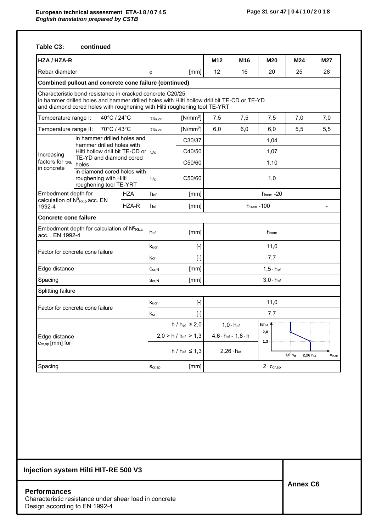## **Table C3: continued**

| HZA / HZA-R                                   |                                                                                                                                                                                                                                       |       |                  |                                                                                                                                                                                                                                                                                                                                                                                                                                                                                                                                                                                                                                                                                                                                                                                 | M <sub>12</sub> | M16                              | M20                       | M24                      | M27                         |  |
|-----------------------------------------------|---------------------------------------------------------------------------------------------------------------------------------------------------------------------------------------------------------------------------------------|-------|------------------|---------------------------------------------------------------------------------------------------------------------------------------------------------------------------------------------------------------------------------------------------------------------------------------------------------------------------------------------------------------------------------------------------------------------------------------------------------------------------------------------------------------------------------------------------------------------------------------------------------------------------------------------------------------------------------------------------------------------------------------------------------------------------------|-----------------|----------------------------------|---------------------------|--------------------------|-----------------------------|--|
| Rebar diameter                                |                                                                                                                                                                                                                                       |       | φ                | [mm]                                                                                                                                                                                                                                                                                                                                                                                                                                                                                                                                                                                                                                                                                                                                                                            | 12              | 16                               | 20                        | 25                       | 28                          |  |
|                                               | Combined pullout and concrete cone failure (continued)                                                                                                                                                                                |       |                  |                                                                                                                                                                                                                                                                                                                                                                                                                                                                                                                                                                                                                                                                                                                                                                                 |                 |                                  |                           |                          |                             |  |
|                                               | Characteristic bond resistance in cracked concrete C20/25<br>in hammer drilled holes and hammer drilled holes with Hilti hollow drill bit TE-CD or TE-YD<br>and diamond cored holes with roughening with Hilti roughening tool TE-YRT |       |                  |                                                                                                                                                                                                                                                                                                                                                                                                                                                                                                                                                                                                                                                                                                                                                                                 |                 |                                  |                           |                          |                             |  |
| Temperature range I:                          | 40°C / 24°C                                                                                                                                                                                                                           |       | TRk, cr          | $[N/mm^2]$                                                                                                                                                                                                                                                                                                                                                                                                                                                                                                                                                                                                                                                                                                                                                                      | 7,5             | 7,5                              | 7,5                       | 7,0                      | 7,0                         |  |
| Temperature range II:                         | 70°C / 43°C                                                                                                                                                                                                                           |       | TRk, cr          | $[N/mm^2]$                                                                                                                                                                                                                                                                                                                                                                                                                                                                                                                                                                                                                                                                                                                                                                      | 6,0             | 6,0                              | 6,0                       | 5,5                      | 5,5                         |  |
|                                               | in hammer drilled holes and<br>hammer drilled holes with                                                                                                                                                                              |       |                  | C30/37                                                                                                                                                                                                                                                                                                                                                                                                                                                                                                                                                                                                                                                                                                                                                                          |                 |                                  | 1,04                      |                          |                             |  |
| Increasing                                    | Hilti hollow drill bit TE-CD or $\mathbb{V}_{c}$                                                                                                                                                                                      |       | C40/50           |                                                                                                                                                                                                                                                                                                                                                                                                                                                                                                                                                                                                                                                                                                                                                                                 |                 |                                  | 1,07                      |                          |                             |  |
| factors for $\tau_{\text{Rk}}$                | TE-YD and diamond cored<br>holes                                                                                                                                                                                                      |       |                  | C50/60                                                                                                                                                                                                                                                                                                                                                                                                                                                                                                                                                                                                                                                                                                                                                                          | 1,10            |                                  |                           |                          |                             |  |
| in concrete                                   | in diamond cored holes with<br>roughening with Hilti<br>roughening tool TE-YRT                                                                                                                                                        |       | $\Psi$ c         | C50/60                                                                                                                                                                                                                                                                                                                                                                                                                                                                                                                                                                                                                                                                                                                                                                          | 1,0             |                                  |                           |                          |                             |  |
| Embedment depth for                           |                                                                                                                                                                                                                                       | HZA   | hef              | [mm]                                                                                                                                                                                                                                                                                                                                                                                                                                                                                                                                                                                                                                                                                                                                                                            | $h_{nom} - 20$  |                                  |                           |                          |                             |  |
| calculation of $N^0_{Rk,p}$ acc. EN<br>1992-4 |                                                                                                                                                                                                                                       | HZA-R | hef              | [mm]                                                                                                                                                                                                                                                                                                                                                                                                                                                                                                                                                                                                                                                                                                                                                                            | $h_{nom} - 100$ |                                  |                           |                          |                             |  |
| Concrete cone failure                         |                                                                                                                                                                                                                                       |       |                  |                                                                                                                                                                                                                                                                                                                                                                                                                                                                                                                                                                                                                                                                                                                                                                                 |                 |                                  |                           |                          |                             |  |
| acc EN 1992-4                                 | Embedment depth for calculation of $N^0$ <sub>Rk,c</sub>                                                                                                                                                                              |       | hef              | [mm]                                                                                                                                                                                                                                                                                                                                                                                                                                                                                                                                                                                                                                                                                                                                                                            |                 |                                  | h <sub>nom</sub>          |                          |                             |  |
|                                               | Factor for concrete cone failure                                                                                                                                                                                                      |       | $k_{\text{ucr}}$ | $[\cdot] % \centering \includegraphics[width=0.9\textwidth]{images/TrDiS/N-Architecture.png} % \caption{The first two different values of $N$ in the left and right.} \label{TrDiS/N-Architecture} %$                                                                                                                                                                                                                                                                                                                                                                                                                                                                                                                                                                           |                 |                                  | 11,0                      |                          |                             |  |
|                                               |                                                                                                                                                                                                                                       |       | $k_{cr}$         | $[ - ]$                                                                                                                                                                                                                                                                                                                                                                                                                                                                                                                                                                                                                                                                                                                                                                         |                 |                                  | 7,7                       |                          |                             |  |
| Edge distance                                 |                                                                                                                                                                                                                                       |       | Ccr.N            | [mm]                                                                                                                                                                                                                                                                                                                                                                                                                                                                                                                                                                                                                                                                                                                                                                            |                 |                                  | $1,5 \cdot h$ ef          |                          |                             |  |
| Spacing                                       |                                                                                                                                                                                                                                       |       | $S_{cr,N}$       | [mm]                                                                                                                                                                                                                                                                                                                                                                                                                                                                                                                                                                                                                                                                                                                                                                            |                 |                                  | $3.0 \cdot h_{\text{ef}}$ |                          |                             |  |
| Splitting failure                             |                                                                                                                                                                                                                                       |       |                  |                                                                                                                                                                                                                                                                                                                                                                                                                                                                                                                                                                                                                                                                                                                                                                                 |                 |                                  |                           |                          |                             |  |
|                                               | Factor for concrete cone failure                                                                                                                                                                                                      |       | Kucr             | $[\cdot] % \centering \includegraphics[width=0.9\textwidth]{images/TrDiS/N-Architecture.png} % \caption{The first two different values of $N$ in the \mbox{thick model} and the second two different values of $N$ in the \mbox{thick model} and the second two different values of $N$ in the \mbox{thick model} and the second two different values of $N$ in the \mbox{thick model} and the second two different values of $N$ in the \mbox{thick model} and the third two different values of $N$ in the \mbox{thick model} and the third two different values of $N$ in the \mbox{thick model} and the third two different values of $N$ in the \mbox{thick model} and the third two different values of $N$ in the \mbox{thick model} and the third two different values$ |                 |                                  | 11,0                      |                          |                             |  |
|                                               |                                                                                                                                                                                                                                       |       | $k_{cr}$         | $[\cdot]$                                                                                                                                                                                                                                                                                                                                                                                                                                                                                                                                                                                                                                                                                                                                                                       |                 |                                  | 7,7                       |                          |                             |  |
|                                               |                                                                                                                                                                                                                                       |       |                  | h / h <sub>ef</sub> ≥ 2,0                                                                                                                                                                                                                                                                                                                                                                                                                                                                                                                                                                                                                                                                                                                                                       |                 | $1.0 \cdot h_{\text{ef}}$        | $h/h_{\rm ef}$            |                          |                             |  |
| Edge distance                                 |                                                                                                                                                                                                                                       |       |                  | $2,0 > h / h_{\text{ef}} > 1,3$                                                                                                                                                                                                                                                                                                                                                                                                                                                                                                                                                                                                                                                                                                                                                 |                 | $4,6 \cdot h$ ef - 1,8 $\cdot h$ | 2,0<br>1,3                |                          |                             |  |
| $C_{cr,sp}$ [mm] for                          |                                                                                                                                                                                                                                       |       |                  | $h / h_{ef} \le 1,3$                                                                                                                                                                                                                                                                                                                                                                                                                                                                                                                                                                                                                                                                                                                                                            |                 | $2,26 \cdot h_{\text{ef}}$       |                           | $1,0 h_{ef}$<br>2,26 hef | $\mathbf{c}_{\text{cr,sp}}$ |  |
| Spacing                                       |                                                                                                                                                                                                                                       |       | Scr,sp           | [mm]                                                                                                                                                                                                                                                                                                                                                                                                                                                                                                                                                                                                                                                                                                                                                                            |                 |                                  | $2 \cdot C_{cr,SD}$       |                          |                             |  |

# **Injection system Hilti HIT-RE 500 V3**

**Performances** 

Characteristic resistance under shear load in concrete Design according to EN 1992-4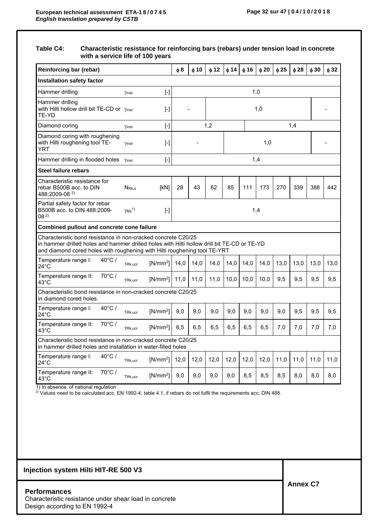#### **Table C4: Characteristic resistance for reinforcing bars (rebars) under tension load in concrete with a service life of 100 years**

| <b>Reinforcing bar (rebar)</b>                                                                                                                                                                                                            |                                               |            | φ8   | $\phi$ 10 | $\phi$ 12 | $\phi$ 14 | $\phi$ 16 | $\phi$ 20 | $\phi$ 25 | $\phi$ 28 | $\phi$ 30 | $\phi$ 32 |
|-------------------------------------------------------------------------------------------------------------------------------------------------------------------------------------------------------------------------------------------|-----------------------------------------------|------------|------|-----------|-----------|-----------|-----------|-----------|-----------|-----------|-----------|-----------|
| <b>Installation safety factor</b>                                                                                                                                                                                                         |                                               |            |      |           |           |           |           |           |           |           |           |           |
| Hammer drilling                                                                                                                                                                                                                           | Yinst                                         | $[ - ]$    |      |           |           |           |           | 1,0       |           |           |           |           |
| Hammer drilling<br>with Hilti hollow drill bit TE-CD or $\gamma_{inst}$<br>TE-YD                                                                                                                                                          |                                               | $[\cdot]$  |      |           |           |           |           | 1,0       |           |           |           |           |
| Diamond coring                                                                                                                                                                                                                            | Yinst                                         | $[\cdot]$  |      |           | 1,2       |           |           |           |           | 1,4       |           |           |
| Diamond coring with roughening<br>with Hilti roughening tool TE-<br>YRT                                                                                                                                                                   | Yinst                                         | $[ - ]$    |      |           | 1,0       |           |           |           |           |           |           |           |
| Hammer drilling in flooded holes                                                                                                                                                                                                          | Yinst                                         | $[ - ]$    | 1,4  |           |           |           |           |           |           |           |           |           |
| Steel failure rebars                                                                                                                                                                                                                      |                                               |            |      |           |           |           |           |           |           |           |           |           |
| Characteristic resistance for<br>rebar B500B acc. to DIN<br>488:2009-08 <sup>2)</sup>                                                                                                                                                     | N <sub>Rks</sub>                              | [kN]       | 28   | 43        | 62        | 85        | 111       | 173       | 270       | 339       | 388       | 442       |
| Partial safety factor for rebar<br>B500B acc. to DIN 488:2009-<br>08 <sup>2</sup>                                                                                                                                                         | $\gamma$ Ms <sup>1)</sup><br>1,4<br>$[\cdot]$ |            |      |           |           |           |           |           |           |           |           |           |
| Combined pullout and concrete cone failure                                                                                                                                                                                                |                                               |            |      |           |           |           |           |           |           |           |           |           |
| Characteristic bond resistance in non-cracked concrete C20/25<br>in hammer drilled holes and hammer drilled holes with Hilti hollow drill bit TE-CD or TE-YD<br>and diamond cored holes with roughening with Hilti roughening tool TE-YRT |                                               |            |      |           |           |           |           |           |           |           |           |           |
| $40^{\circ}$ C /<br>Temperature range I:<br>24°C                                                                                                                                                                                          | $TRk,$ ucr                                    | $[N/mm^2]$ | 14,0 | 14,0      | 14,0      | 14,0      | 14,0      | 14,0      | 13,0      | 13,0      | 13,0      | 13,0      |
| 70°C/<br>Temperature range II:<br>43°C                                                                                                                                                                                                    | $TRk,$ ucr                                    | $[N/mm^2]$ | 11,0 | 11.0      | 11,0      | 10,0      | 10,0      | 10,0      | 9,5       | 9,5       | 9,5       | 9,5       |
| Characteristic bond resistance in non-cracked concrete C20/25<br>in diamond cored holes.                                                                                                                                                  |                                               |            |      |           |           |           |           |           |           |           |           |           |
| $40^{\circ}$ C /<br>Temperature range I:<br>$24^{\circ}$ C                                                                                                                                                                                | $\tau_{\text{Rk,ucr}}$                        | $[N/mm^2]$ | 9,0  | 9,0       | 9,0       | 9,0       | 9,0       | 9,0       | 9,0       | 9,5       | 9,5       | 9,5       |
| Temperature range II:<br>$70^{\circ}$ C /<br>43°C                                                                                                                                                                                         | $TRk,$ ucr                                    | $[N/mm^2]$ | 6,5  | 6,5       | 6,5       | 6, 5      | 6,5       | 6, 5      | 7,0       | 7,0       | 7,0       | 7,0       |
| Characteristic bond resistance in non-cracked concrete C20/25<br>in hammer drilled holes and installation in water-filled holes                                                                                                           |                                               |            |      |           |           |           |           |           |           |           |           |           |
| $40^{\circ}$ C /<br>Temperature range I:<br>24°C                                                                                                                                                                                          | TRk.ucr                                       | $[N/mm^2]$ | 12,0 | 12,0      | 12,0      | 12,0      | 12,0      | 12,0      | 11,0      | 11,0      | 11,0      | 11,0      |
| 70°C/<br>Temperature range II:<br>43°C                                                                                                                                                                                                    | $TRk,$ ucr                                    | $[N/mm^2]$ | 9,0  | 9,0       | 9,0       | 9,0       | 8,5       | 8,5       | 8,5       | 8,0       | 8,0       | 8,0       |

1) In absence of national regulation

<sup>2)</sup> Values need to be calculated acc. EN 1992-4, table 4.1, if rebars do not fulfil the requirements acc. DIN 488.

### **Injection system Hilti HIT-RE 500 V3**

#### **Performances**

Characteristic resistance under shear load in concrete Design according to EN 1992-4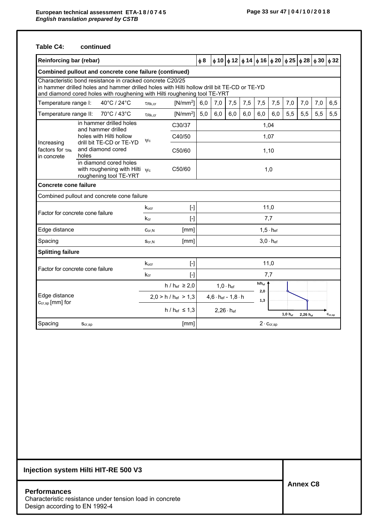### **Table C4: continued**

| <b>Reinforcing bar (rebar)</b>                              |                                                                                                                                                                                                                                       |                  |                                                                                                                                                                                                       | $\phi$ 8 |                            |                                    |     |                                       |      |     | $\phi$ 10 $\phi$ 12 $\phi$ 14 $\phi$ 16 $\phi$ 20 $\phi$ 25 $\phi$ 28 $\phi$ 30 $\phi$ 32 |     |                             |
|-------------------------------------------------------------|---------------------------------------------------------------------------------------------------------------------------------------------------------------------------------------------------------------------------------------|------------------|-------------------------------------------------------------------------------------------------------------------------------------------------------------------------------------------------------|----------|----------------------------|------------------------------------|-----|---------------------------------------|------|-----|-------------------------------------------------------------------------------------------|-----|-----------------------------|
|                                                             | Combined pullout and concrete cone failure (continued)                                                                                                                                                                                |                  |                                                                                                                                                                                                       |          |                            |                                    |     |                                       |      |     |                                                                                           |     |                             |
|                                                             | Characteristic bond resistance in cracked concrete C20/25<br>in hammer drilled holes and hammer drilled holes with Hilti hollow drill bit TE-CD or TE-YD<br>and diamond cored holes with roughening with Hilti roughening tool TE-YRT |                  |                                                                                                                                                                                                       |          |                            |                                    |     |                                       |      |     |                                                                                           |     |                             |
| Temperature range I:                                        | 40°C / 24°C                                                                                                                                                                                                                           | TRk, cr          | $[N/mm^2]$                                                                                                                                                                                            | 6,0      | 7,0                        | 7,5                                | 7,5 | 7,5                                   | 7,5  | 7,0 | 7,0                                                                                       | 7,0 | 6,5                         |
| Temperature range II:                                       | 70°C / 43°C                                                                                                                                                                                                                           | TRk, cr          | $[N/mm^2]$                                                                                                                                                                                            | 5,0      | 6,0                        | 6,0                                | 6,0 | 6,0                                   | 6,0  | 5,5 | 5,5                                                                                       | 5,5 | 5,5                         |
|                                                             | in hammer drilled holes<br>and hammer drilled                                                                                                                                                                                         |                  | C30/37                                                                                                                                                                                                |          |                            |                                    |     |                                       | 1,04 |     |                                                                                           |     |                             |
|                                                             | holes with Hilti hollow                                                                                                                                                                                                               | $\psi$ c         | C40/50                                                                                                                                                                                                |          |                            |                                    |     |                                       | 1,07 |     |                                                                                           |     |                             |
| Increasing<br>factors for $\tau_{\text{RK}}$<br>in concrete | drill bit TE-CD or TE-YD<br>and diamond cored<br>holes                                                                                                                                                                                |                  | C50/60<br>1,10                                                                                                                                                                                        |          |                            |                                    |     |                                       |      |     |                                                                                           |     |                             |
|                                                             | in diamond cored holes<br>with roughening with Hilti $\psi_c$<br>roughening tool TE-YRT                                                                                                                                               |                  | C50/60                                                                                                                                                                                                | 1,0      |                            |                                    |     |                                       |      |     |                                                                                           |     |                             |
| Concrete cone failure                                       |                                                                                                                                                                                                                                       |                  |                                                                                                                                                                                                       |          |                            |                                    |     |                                       |      |     |                                                                                           |     |                             |
|                                                             | Combined pullout and concrete cone failure                                                                                                                                                                                            |                  |                                                                                                                                                                                                       |          |                            |                                    |     |                                       |      |     |                                                                                           |     |                             |
|                                                             |                                                                                                                                                                                                                                       | $k_{\text{ucr}}$ | $[$                                                                                                                                                                                                   | 11,0     |                            |                                    |     |                                       |      |     |                                                                                           |     |                             |
|                                                             | Factor for concrete cone failure                                                                                                                                                                                                      | $k_{cr}$         | $[$                                                                                                                                                                                                   |          |                            |                                    |     | 7,7                                   |      |     |                                                                                           |     |                             |
| Edge distance                                               |                                                                                                                                                                                                                                       | Ccr, N           | [mm]                                                                                                                                                                                                  |          | $1, 5 \cdot h_{\text{ef}}$ |                                    |     |                                       |      |     |                                                                                           |     |                             |
| Spacing                                                     |                                                                                                                                                                                                                                       | Scr, N           | [mm]                                                                                                                                                                                                  |          |                            |                                    |     | $3,0 \cdot h_{\text{ef}}$             |      |     |                                                                                           |     |                             |
| <b>Splitting failure</b>                                    |                                                                                                                                                                                                                                       |                  |                                                                                                                                                                                                       |          |                            |                                    |     |                                       |      |     |                                                                                           |     |                             |
|                                                             |                                                                                                                                                                                                                                       | Kucr             | $[\cdot] % \centering \includegraphics[width=0.9\textwidth]{images/TrDiS/N-Architecture.png} % \caption{The first two different values of $N$ in the left and right.} \label{TrDiS/N-Architecture} %$ |          |                            |                                    |     |                                       | 11,0 |     |                                                                                           |     |                             |
| Factor for concrete cone failure                            |                                                                                                                                                                                                                                       | $k_{cr}$         | $[ \cdot ]$                                                                                                                                                                                           |          |                            |                                    |     | 7,7                                   |      |     |                                                                                           |     |                             |
|                                                             |                                                                                                                                                                                                                                       |                  | $h / h_{ef} \ge 2.0$                                                                                                                                                                                  |          |                            | $1,0 \cdot h_{ef}$                 |     | $h/h_{ef}$                            |      |     |                                                                                           |     |                             |
| Edge distance                                               |                                                                                                                                                                                                                                       |                  | $2,0 > h / h_{\text{ef}} > 1,3$                                                                                                                                                                       |          |                            | $4,6 \cdot h_{ef}$ - $1,8 \cdot h$ |     | 2,0<br>1,3                            |      |     |                                                                                           |     |                             |
|                                                             | Ccr,sp [mm] for                                                                                                                                                                                                                       |                  | $h / h_{ef} \le 1.3$                                                                                                                                                                                  |          |                            | $2,26 \cdot h_{\text{ef}}$         |     | $1,0 h_{ef}$<br>$2,26h$ <sub>ef</sub> |      |     |                                                                                           |     | $\mathbf{c}_{\text{cr,sp}}$ |
| Spacing                                                     | Scr,sp                                                                                                                                                                                                                                |                  | [mm]                                                                                                                                                                                                  |          |                            |                                    |     | $2 \cdot C_{cr,SD}$                   |      |     |                                                                                           |     |                             |

# **Injection system Hilti HIT-RE 500 V3**

### **Performances**  Characteristic resistance under tension load in concrete Design according to EN 1992-4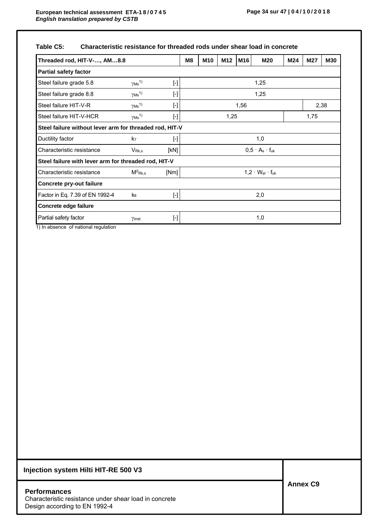| Table C5: | Characteristic resistance for threaded rods under shear load in concrete |  |  |
|-----------|--------------------------------------------------------------------------|--|--|
|-----------|--------------------------------------------------------------------------|--|--|

| Threaded rod, HIT-V-, AM8.8                             |                                      |                                                                                                                                                                                                                                                                                                                                                                                                            | M8 | M <sub>10</sub> | M <sub>12</sub> | M16  | <b>M20</b>                      | M24 | M27  | <b>M30</b> |
|---------------------------------------------------------|--------------------------------------|------------------------------------------------------------------------------------------------------------------------------------------------------------------------------------------------------------------------------------------------------------------------------------------------------------------------------------------------------------------------------------------------------------|----|-----------------|-----------------|------|---------------------------------|-----|------|------------|
| <b>Partial safety factor</b>                            |                                      |                                                                                                                                                                                                                                                                                                                                                                                                            |    |                 |                 |      |                                 |     |      |            |
| Steel failure grade 5.8                                 | $\gamma$ Ms <sup>1)</sup>            | $[\cdot] % \centering \includegraphics[width=0.9\columnwidth]{figures/fig_10.pdf} \caption{The graph $\mathcal{N}_1$ is a function of the number of~\textit{N}_1$ and the number of~\textit{N}_2$ is a function of the number of~\textit{N}_1$ (left) and the number of~\textit{N}_2$ (right).} \label{fig:fig_11}$                                                                                        |    |                 |                 |      | 1,25                            |     |      |            |
| Steel failure grade 8.8                                 | $\gamma$ Ms <sup>1)</sup>            | $[\cdot]$                                                                                                                                                                                                                                                                                                                                                                                                  |    |                 |                 |      | 1,25                            |     |      |            |
| Steel failure HIT-V-R                                   | $\gamma$ <sub>Ms</sub> <sup>1)</sup> | $[\cdot] % \centering \includegraphics[width=0.9\textwidth]{images/TrDiS/N-Architecture.png} % \caption{The first two different values of $N=1000$ and $N=1000$ and $N=1000$ and $N=1000$ and $N=1000$ and $N=1000$ and $N=1000$ and $N=1000$ and $N=1000$ and $N=1000$ and $N=1000$ and $N=1000$ and $N=1000$ and $N=1000$ and $N=1000$ and $N=1000$ and $N=1000$ and $N=1000$ and $N=1000$ and $N=1000$$ |    |                 |                 | 1,56 |                                 |     |      | 2,38       |
| Steel failure HIT-V-HCR                                 | $\gamma$ Ms <sup>1)</sup>            | $[\cdot] % \centering \includegraphics[width=0.9\textwidth]{images/TrDiS/N-Architecture.png} % \caption{The first two different values of $N=1000$ and $N=1000$ and $N=1000$ and $N=1000$ and $N=1000$ and $N=1000$ and $N=1000$ and $N=1000$ and $N=1000$ and $N=1000$ and $N=1000$ and $N=1000$ and $N=1000$ and $N=1000$ and $N=1000$ and $N=1000$ and $N=1000$ and $N=1000$ and $N=1000$ and $N=1000$$ |    |                 | 1,25            |      |                                 |     | 1,75 |            |
| Steel failure without lever arm for threaded rod, HIT-V |                                      |                                                                                                                                                                                                                                                                                                                                                                                                            |    |                 |                 |      |                                 |     |      |            |
| Ductility factor                                        | k7                                   | $[\cdot] % \centering \includegraphics[width=0.9\textwidth]{images/TrDiS/N-Architecture.png} % \caption{The first two different values of $N=1000$ and $N=1000$ and $N=1000$ and $N=1000$ and $N=1000$ and $N=1000$ and $N=1000$ and $N=1000$ and $N=1000$ and $N=1000$ and $N=1000$ and $N=1000$ and $N=1000$ and $N=1000$ and $N=1000$ and $N=1000$ and $N=1000$ and $N=1000$ and $N=1000$ and $N=1000$$ |    |                 |                 |      | 1,0                             |     |      |            |
| Characteristic resistance                               | $V_{\mathsf{Rk},\mathsf{s}}$         | [kN]                                                                                                                                                                                                                                                                                                                                                                                                       |    |                 |                 |      | $0.5 \cdot A_s \cdot f_{uk}$    |     |      |            |
| Steel failure with lever arm for threaded rod, HIT-V    |                                      |                                                                                                                                                                                                                                                                                                                                                                                                            |    |                 |                 |      |                                 |     |      |            |
| Characteristic resistance                               | $M^0$ <sub>Rk,s</sub>                | [Nm]                                                                                                                                                                                                                                                                                                                                                                                                       |    |                 |                 |      | $1,2 \cdot W_{el} \cdot f_{uk}$ |     |      |            |
| Concrete pry-out failure                                |                                      |                                                                                                                                                                                                                                                                                                                                                                                                            |    |                 |                 |      |                                 |     |      |            |
| Factor in Eq. 7.39 of EN 1992-4                         | k8                                   | $[\cdot] % \centering \includegraphics[width=0.9\textwidth]{images/TrDiS/N-Architecture.png} % \caption{The first two different values of $N=1000$ and $N=1000$ and $N=1000$ and $N=1000$ and $N=1000$ and $N=1000$ and $N=1000$ and $N=1000$ and $N=1000$ and $N=1000$ and $N=1000$ and $N=1000$ and $N=1000$ and $N=1000$ and $N=1000$ and $N=1000$ and $N=1000$ and $N=1000$ and $N=1000$ and $N=1000$$ |    |                 |                 |      | 2,0                             |     |      |            |
| Concrete edge failure                                   |                                      |                                                                                                                                                                                                                                                                                                                                                                                                            |    |                 |                 |      |                                 |     |      |            |
| Partial safety factor                                   | Yinst                                | $[\cdot]$                                                                                                                                                                                                                                                                                                                                                                                                  |    |                 |                 |      | 1,0                             |     |      |            |

1) In absence of national regulation

# **Injection system Hilti HIT-RE 500 V3**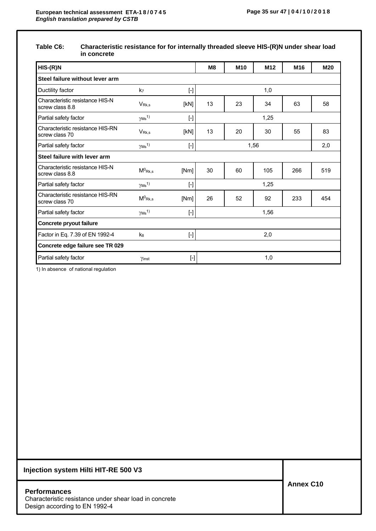### **Table C6: Characteristic resistance for for internally threaded sleeve HIS-(R)N under shear load in concrete**

| $HIS-(R)N$                                         |                              |                                                                                                                                                                                                       | M <sub>8</sub> | M <sub>10</sub> | M <sub>12</sub> | M <sub>16</sub> | M20 |
|----------------------------------------------------|------------------------------|-------------------------------------------------------------------------------------------------------------------------------------------------------------------------------------------------------|----------------|-----------------|-----------------|-----------------|-----|
| Steel failure without lever arm                    |                              |                                                                                                                                                                                                       |                |                 |                 |                 |     |
| Ductility factor                                   | k7                           | $[ - ]$                                                                                                                                                                                               |                |                 | 1,0             |                 |     |
| Characteristic resistance HIS-N<br>screw class 8.8 | $V_{\mathsf{Rk},\mathsf{s}}$ | [KN]                                                                                                                                                                                                  | 13             | 23              | 34              | 63              | 58  |
| Partial safety factor                              | $\gamma$ Ms <sup>1)</sup>    | $[ \cdot ]$                                                                                                                                                                                           |                |                 | 1,25            |                 |     |
| Characteristic resistance HIS-RN<br>screw class 70 | V <sub>Rk.s</sub>            | [KN]                                                                                                                                                                                                  | 13             | 20              | 30              | 55              | 83  |
| Partial safety factor                              | $\gamma$ Ms <sup>1)</sup>    | $[\cdot] % \centering \includegraphics[width=0.9\textwidth]{images/TrDiS/N-Architecture.png} % \caption{The first two different values of $N$ in the left and right.} \label{TrDiS/N-Architecture} %$ |                |                 | 1,56            |                 | 2,0 |
| Steel failure with lever arm                       |                              |                                                                                                                                                                                                       |                |                 |                 |                 |     |
| Characteristic resistance HIS-N<br>screw class 8.8 | $M^0$ <sub>Rk,s</sub>        | [Nm]                                                                                                                                                                                                  | 30             | 60              | 105             | 266             | 519 |
| Partial safety factor                              | $\gamma$ Ms <sup>1)</sup>    | $[ \cdot ]$                                                                                                                                                                                           |                |                 | 1,25            |                 |     |
| Characteristic resistance HIS-RN<br>screw class 70 | $M^0$ Rk,s                   | [Nm]                                                                                                                                                                                                  | 26             | 52              | 92              | 233             | 454 |
| Partial safety factor                              | $\gamma$ Ms <sup>1)</sup>    | $[\cdot]$                                                                                                                                                                                             |                |                 | 1,56            |                 |     |
| Concrete pryout failure                            |                              |                                                                                                                                                                                                       |                |                 |                 |                 |     |
| Factor in Eq. 7.39 of EN 1992-4                    | k <sup>8</sup>               | $\lceil \cdot \rceil$                                                                                                                                                                                 |                |                 | 2,0             |                 |     |
| Concrete edge failure see TR 029                   |                              |                                                                                                                                                                                                       |                |                 |                 |                 |     |
| Partial safety factor                              | Yinst                        | $[ - ]$                                                                                                                                                                                               |                |                 | 1,0             |                 |     |

1) In absence of national regulation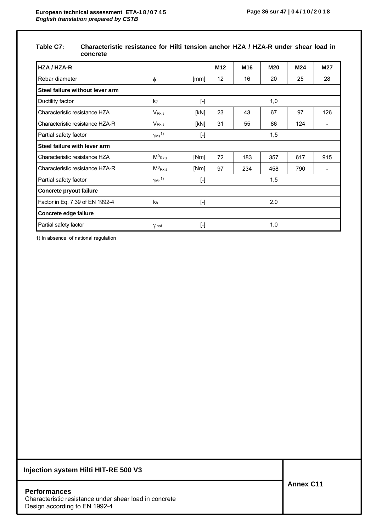### **Table C7: Characteristic resistance for Hilti tension anchor HZA / HZA-R under shear load in concrete**

| HZA / HZA-R                     |                           |                                                                                                                                                                                                                                                                                                                                                                                                                                                                                                                                                                                                                                                                                                                                                                                             | M <sub>12</sub> | M <sub>16</sub> | <b>M20</b> | M24 | M27 |
|---------------------------------|---------------------------|---------------------------------------------------------------------------------------------------------------------------------------------------------------------------------------------------------------------------------------------------------------------------------------------------------------------------------------------------------------------------------------------------------------------------------------------------------------------------------------------------------------------------------------------------------------------------------------------------------------------------------------------------------------------------------------------------------------------------------------------------------------------------------------------|-----------------|-----------------|------------|-----|-----|
| Rebar diameter                  | φ                         | [mm]                                                                                                                                                                                                                                                                                                                                                                                                                                                                                                                                                                                                                                                                                                                                                                                        | 12              | 16              | 20         | 25  | 28  |
| Steel failure without lever arm |                           |                                                                                                                                                                                                                                                                                                                                                                                                                                                                                                                                                                                                                                                                                                                                                                                             |                 |                 |            |     |     |
| Ductility factor                | k <sub>7</sub>            | $\left[ -\right] % \includegraphics[width=0.9\columnwidth]{figures/fig_2b} \caption{The number of parameters of the top of the top of the left. The number of points are the same as in Figure \ref{fig:1}, the number of points are the same as in Figure \ref{fig:1}, the number of points are the same as in Figure \ref{fig:2}, the number of points are the same as in Figure \ref{fig:1}, the number of points are the same as inFigure \ref{fig:1}, the number of points are the same as inFigure \ref{fig:2}, the number of points are the same as inFigure \ref{fig:2}, the number of points are the same as inFigure \ref{fig:3}, the number of points are the same as inFigure \ref{fig:4}, the number of points are the same as inFigure \ref{fig:4}, the number of points are$ |                 |                 | 1,0        |     |     |
| Characteristic resistance HZA   | $V_{\rm Rk,s}$            | [KN]                                                                                                                                                                                                                                                                                                                                                                                                                                                                                                                                                                                                                                                                                                                                                                                        | 23              | 43              | 67         | 97  | 126 |
| Characteristic resistance HZA-R | V <sub>Rk,s</sub>         | [KN]                                                                                                                                                                                                                                                                                                                                                                                                                                                                                                                                                                                                                                                                                                                                                                                        | 31              | 55              | 86         | 124 |     |
| Partial safety factor           | $\gamma$ Ms <sup>1)</sup> | $\lbrack \cdot \rbrack$                                                                                                                                                                                                                                                                                                                                                                                                                                                                                                                                                                                                                                                                                                                                                                     |                 |                 | 1,5        |     |     |
| Steel failure with lever arm    |                           |                                                                                                                                                                                                                                                                                                                                                                                                                                                                                                                                                                                                                                                                                                                                                                                             |                 |                 |            |     |     |
| Characteristic resistance HZA   | $M^0$ Rk,s                | [Nm]                                                                                                                                                                                                                                                                                                                                                                                                                                                                                                                                                                                                                                                                                                                                                                                        | 72              | 183             | 357        | 617 | 915 |
| Characteristic resistance HZA-R | $M^0$ <sub>Rk,s</sub>     | [Nm]                                                                                                                                                                                                                                                                                                                                                                                                                                                                                                                                                                                                                                                                                                                                                                                        | 97              | 234             | 458        | 790 |     |
| Partial safety factor           | $\gamma$ Ms <sup>1)</sup> | $\lbrack \cdot \rbrack$                                                                                                                                                                                                                                                                                                                                                                                                                                                                                                                                                                                                                                                                                                                                                                     |                 |                 | 1,5        |     |     |
| Concrete pryout failure         |                           |                                                                                                                                                                                                                                                                                                                                                                                                                                                                                                                                                                                                                                                                                                                                                                                             |                 |                 |            |     |     |
| Factor in Eq. 7.39 of EN 1992-4 | k <sub>8</sub>            | $\left[ \cdot \right] % \includegraphics[width=0.9\textwidth]{images/TrDiA-Architecture.png} \caption{The first two different values of $A$ with the same time. The left two different values of $A$ is the same time.} \label{TrDiA-Architecture}$                                                                                                                                                                                                                                                                                                                                                                                                                                                                                                                                         |                 |                 | 2.0        |     |     |
| Concrete edge failure           |                           |                                                                                                                                                                                                                                                                                                                                                                                                                                                                                                                                                                                                                                                                                                                                                                                             |                 |                 |            |     |     |
| Partial safety factor           | Yinst                     | $\lbrack \cdot \rbrack$                                                                                                                                                                                                                                                                                                                                                                                                                                                                                                                                                                                                                                                                                                                                                                     |                 |                 | 1,0        |     |     |

1) In absence of national regulation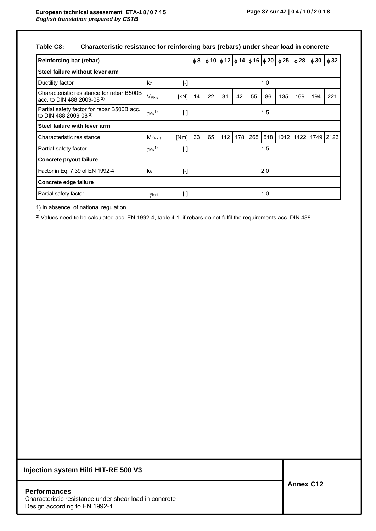# **Table C8: Characteristic resistance for reinforcing bars (rebars) under shear load in concrete**

| Reinforcing bar (rebar)                                                        |                                       |           | $\phi$ 8 |    |     |     |     |     | φ 10   φ 12   φ 14   φ 16   φ 20   φ 25 | $\phi$ 28 | $\phi$ 30 | $\phi$ 32 |
|--------------------------------------------------------------------------------|---------------------------------------|-----------|----------|----|-----|-----|-----|-----|-----------------------------------------|-----------|-----------|-----------|
| Steel failure without lever arm                                                |                                       |           |          |    |     |     |     |     |                                         |           |           |           |
| Ductility factor                                                               | k7                                    | $[$       |          |    |     |     |     | 1,0 |                                         |           |           |           |
| Characteristic resistance for rebar B500B<br>acc. to DIN 488:2009-08 $^{2}$ )  | VR <sub>k,s</sub>                     | [kN]      | 14       | 22 | 31  | 42  | 55  | 86  | 135                                     | 169       | 194       | 221       |
| Partial safety factor for rebar B500B acc.<br>to DIN 488:2009-08 <sup>2)</sup> | $\gamma$ Ms <sup>1)</sup>             | $[\cdot]$ |          |    |     |     |     | 1,5 |                                         |           |           |           |
| Steel failure with lever arm                                                   |                                       |           |          |    |     |     |     |     |                                         |           |           |           |
| Characteristic resistance                                                      | $M^0$ <sub>Rk,s</sub>                 | [Nm]      | 33       | 65 | 112 | 178 | 265 | 518 | 1012                                    | 1422      |           | 1749 2123 |
| Partial safety factor                                                          | $\gamma$ <sub>Ms</sub> <sup>1</sup> ) | $[\cdot]$ |          |    |     |     |     | 1,5 |                                         |           |           |           |
| Concrete pryout failure                                                        |                                       |           |          |    |     |     |     |     |                                         |           |           |           |
| Factor in Eq. 7.39 of EN 1992-4                                                | k <sub>8</sub>                        | $[\cdot]$ |          |    |     |     |     | 2,0 |                                         |           |           |           |
| Concrete edge failure                                                          |                                       |           |          |    |     |     |     |     |                                         |           |           |           |
| Partial safety factor                                                          | Yinst                                 | $[\cdot]$ |          |    |     |     |     | 1,0 |                                         |           |           |           |

1) In absence of national regulation

<sup>2)</sup> Values need to be calculated acc. EN 1992-4, table 4.1, if rebars do not fulfil the requirements acc. DIN 488..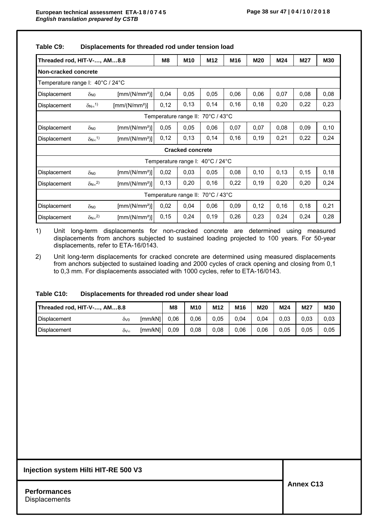| Table C9: | Displacements for threaded rod under tension load |
|-----------|---------------------------------------------------|
|           |                                                   |

| Threaded rod, HIT-V-, AM8.8                                                                                                             |                                            |                                                 | M <sub>8</sub> | M <sub>10</sub>                   | M <sub>12</sub> | M <sub>16</sub> | M20  | M24   | M27  | <b>M30</b> |
|-----------------------------------------------------------------------------------------------------------------------------------------|--------------------------------------------|-------------------------------------------------|----------------|-----------------------------------|-----------------|-----------------|------|-------|------|------------|
| Non-cracked concrete                                                                                                                    |                                            |                                                 |                |                                   |                 |                 |      |       |      |            |
| Temperature range I: 40°C / 24°C                                                                                                        |                                            |                                                 |                |                                   |                 |                 |      |       |      |            |
| 0,05<br>0,05<br>0,06<br>0,06<br>0,08<br>$\left[\text{mm}/(\text{N/mm}^2)\right]$<br>0,04<br>0,07<br>0,08<br>Displacement<br>$\delta$ NO |                                            |                                                 |                |                                   |                 |                 |      |       |      |            |
| Displacement                                                                                                                            | $\delta_{\mathsf{N}\infty}{}^{\mathsf{1}}$ | $\left[\text{mm}/(\text{N}/\text{mm}^2)\right]$ | 0,12           | 0, 13                             | 0,14            | 0, 16           | 0,18 | 0,20  | 0,22 | 0,23       |
|                                                                                                                                         |                                            |                                                 |                | Temperature range II: 70°C / 43°C |                 |                 |      |       |      |            |
| Displacement                                                                                                                            | $\delta$ <sub>NO</sub>                     | $\left[\text{mm}/(\text{N}/\text{mm}^2)\right]$ | 0.05           | 0.05                              | 0,06            | 0.07            | 0,07 | 0.08  | 0.09 | 0,10       |
| Displacement                                                                                                                            | $\delta_{\mathsf{N}\infty}^{(1)}$          | $\left[\text{mm}/(\text{N/mm}^2)\right]$        | 0,12           | 0,13                              | 0,14            | 0,16            | 0,19 | 0,21  | 0,22 | 0,24       |
|                                                                                                                                         |                                            |                                                 |                | <b>Cracked concrete</b>           |                 |                 |      |       |      |            |
|                                                                                                                                         |                                            |                                                 |                | Temperature range I: 40°C / 24°C  |                 |                 |      |       |      |            |
| Displacement                                                                                                                            | $\delta$ <sub>NO</sub>                     | $\left[\text{mm}/(\text{N}/\text{mm}^2)\right]$ | 0,02           | 0,03                              | 0,05            | 0,08            | 0,10 | 0, 13 | 0,15 | 0, 18      |
| Displacement                                                                                                                            | $\delta_{N\infty}^{2)}$                    | $\left[\text{mm}/(\text{N}/\text{mm}^2)\right]$ | 0,13           | 0,20                              | 0,16            | 0,22            | 0,19 | 0,20  | 0,20 | 0,24       |
|                                                                                                                                         |                                            |                                                 |                | Temperature range II: 70°C / 43°C |                 |                 |      |       |      |            |
| Displacement                                                                                                                            | $\delta$ <sub>NO</sub>                     | $\left[\text{mm}/(\text{N}/\text{mm}^2)\right]$ | 0,02           | 0,04                              | 0,06            | 0,09            | 0,12 | 0,16  | 0,18 | 0,21       |
| Displacement                                                                                                                            | $\delta_{N\infty}^{2)}$                    | $\text{[mm/(N/mm^2)]}$                          | 0,15           | 0,24                              | 0,19            | 0,26            | 0,23 | 0,24  | 0,24 | 0,28       |

1) Unit long-term displacements for non-cracked concrete are determined using measured displacements from anchors subjected to sustained loading projected to 100 years. For 50-year displacements, refer to ETA-16/0143.

2) Unit long-term displacements for cracked concrete are determined using measured displacements from anchors subjected to sustained loading and 2000 cycles of crack opening and closing from 0,1 to 0,3 mm. For displacements associated with 1000 cycles, refer to ETA-16/0143.

#### **Table C10: Displacements for threaded rod under shear load**

| Threaded rod, HIT-V-, AM8.8 |     |         | M8   | M <sub>10</sub> | M12  | M <sub>16</sub> | M <sub>20</sub> | M24  | M27  | M30  |
|-----------------------------|-----|---------|------|-----------------|------|-----------------|-----------------|------|------|------|
| <b>Displacement</b>         | ŎV0 | [mm/kN] | 0.06 | 0.06            | 0.05 | 0.04            | 0.04            | 0.03 | 0.03 | 0.03 |
| <b>Displacement</b>         | δ∨∞ | [mm/kN] | 0.09 | 0.08            | 0.08 | 0.06            | 0.06            | 0,05 | 0.05 | 0.05 |

#### **Injection system Hilti HIT-RE 500 V3**

**Performances Displacements**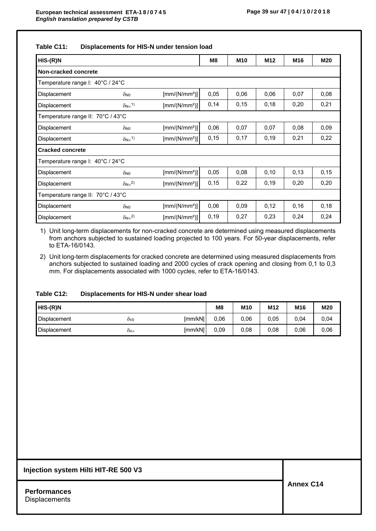| $HIS-(R)N$                        |                                    |                                          | M8   | M <sub>10</sub> | M12   | M16  | <b>M20</b> |
|-----------------------------------|------------------------------------|------------------------------------------|------|-----------------|-------|------|------------|
| Non-cracked concrete              |                                    |                                          |      |                 |       |      |            |
| Temperature range I: 40°C / 24°C  |                                    |                                          |      |                 |       |      |            |
| Displacement                      | $\delta$ NO                        | $\left[\text{mm}/(\text{N/mm}^2)\right]$ | 0.05 | 0.06            | 0.06  | 0.07 | 0,08       |
| Displacement                      | $\delta_{\mathsf{N}\infty}{}^{1)}$ | $\left[\text{mm}/(\text{N/mm}^2)\right]$ | 0,14 | 0,15            | 0,18  | 0,20 | 0,21       |
| Temperature range II: 70°C / 43°C |                                    |                                          |      |                 |       |      |            |
| Displacement                      | $\delta$ NO                        | $\left[\text{mm}/(\text{N/mm}^2)\right]$ | 0,06 | 0,07            | 0,07  | 0,08 | 0,09       |
| Displacement                      | $\delta_{N\infty}$ <sup>1)</sup>   | $\left[\text{mm}/(\text{N/mm}^2)\right]$ | 0,15 | 0,17            | 0,19  | 0,21 | 0.22       |
| <b>Cracked concrete</b>           |                                    |                                          |      |                 |       |      |            |
| Temperature range I: 40°C / 24°C  |                                    |                                          |      |                 |       |      |            |
| Displacement                      | $\delta$ NO                        | $\left[\text{mm}/(\text{N/mm}^2)\right]$ | 0,05 | 0.08            | 0,10  | 0,13 | 0,15       |
| Displacement                      | $\delta N \infty^2$                | $\left[\text{mm}/(\text{N/mm}^2)\right]$ | 0,15 | 0,22            | 0, 19 | 0,20 | 0,20       |
| Temperature range II: 70°C / 43°C |                                    |                                          |      |                 |       |      |            |
| Displacement                      | $\delta$ NO                        | $\left[\text{mm}/(\text{N/mm}^2)\right]$ | 0.06 | 0.09            | 0,12  | 0,16 | 0,18       |
| Displacement                      | $\delta_{N\infty}^{2)}$            | [mm/(N/mm <sup>2</sup> )]                | 0,19 | 0,27            | 0,23  | 0,24 | 0,24       |

1) Unit long-term displacements for non-cracked concrete are determined using measured displacements from anchors subjected to sustained loading projected to 100 years. For 50-year displacements, refer to ETA-16/0143.

2) Unit long-term displacements for cracked concrete are determined using measured displacements from anchors subjected to sustained loading and 2000 cycles of crack opening and closing from 0,1 to 0,3 mm. For displacements associated with 1000 cycles, refer to ETA-16/0143.

### **Table C12: Displacements for HIS-N under shear load**

| HIS-(R)N            |     |         | M8   | M <sub>10</sub> | M <sub>12</sub> | M <sub>16</sub> | M20  |
|---------------------|-----|---------|------|-----------------|-----------------|-----------------|------|
| <b>Displacement</b> | OV0 | [mm/kN] | 0,06 | 0.06            | 0,05            | 0,04            | 0,04 |
| <b>Displacement</b> | òV∞ | [mm/kN] | 0.09 | 0,08            | 0.08            | 0,06            | 0.06 |

#### **Injection system Hilti HIT-RE 500 V3**

**Performances Displacements**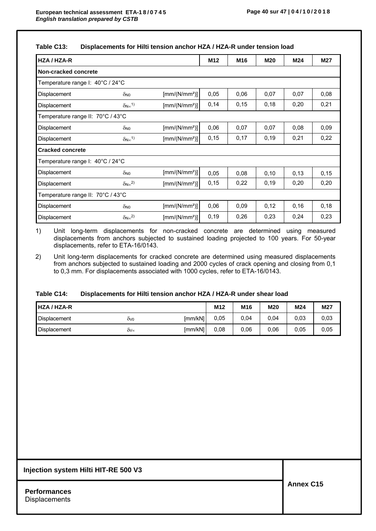### **Table C13: Displacements for Hilti tension anchor HZA / HZA-R under tension load**

| HZA / HZA-R                       |                                   |                                          | M <sub>12</sub> | M <sub>16</sub> | <b>M20</b> | M24  | M27  |
|-----------------------------------|-----------------------------------|------------------------------------------|-----------------|-----------------|------------|------|------|
| Non-cracked concrete              |                                   |                                          |                 |                 |            |      |      |
| Temperature range I: 40°C / 24°C  |                                   |                                          |                 |                 |            |      |      |
| Displacement                      | $\delta$ <sub>NO</sub>            | [mm/(N/mm <sup>2</sup> )]                | 0,05            | 0.06            | 0,07       | 0,07 | 0,08 |
| Displacement                      | $\delta_{\mathsf{N}\infty}^{(1)}$ | $\left[\text{mm}/(\text{N/mm}^2)\right]$ | 0,14            | 0,15            | 0,18       | 0,20 | 0,21 |
| Temperature range II: 70°C / 43°C |                                   |                                          |                 |                 |            |      |      |
| Displacement                      | $\delta$ <sub>NO</sub>            | $\left[\text{mm}/(\text{N/mm}^2)\right]$ | 0,06            | 0.07            | 0,07       | 0,08 | 0,09 |
| Displacement                      | $\delta_{N\infty}^{1}$            | $\left[\text{mm}/(\text{N/mm}^2)\right]$ | 0,15            | 0.17            | 0,19       | 0,21 | 0,22 |
| <b>Cracked concrete</b>           |                                   |                                          |                 |                 |            |      |      |
| Temperature range I: 40°C / 24°C  |                                   |                                          |                 |                 |            |      |      |
| Displacement                      | $\delta$ <sub>NO</sub>            | $\left[\text{mm}/(\text{N/mm}^2)\right]$ | 0,05            | 0.08            | 0,10       | 0,13 | 0,15 |
| Displacement                      | $\delta_{\rm N\infty}{}^{2)}$     | $\left[\text{mm}/(\text{N/mm}^2)\right]$ | 0,15            | 0,22            | 0,19       | 0,20 | 0,20 |
| Temperature range II: 70°C / 43°C |                                   |                                          |                 |                 |            |      |      |
| Displacement                      | $\delta$ <sub>NO</sub>            | $\left[\text{mm}/(\text{N/mm}^2)\right]$ | 0,06            | 0.09            | 0,12       | 0,16 | 0,18 |
| Displacement                      | $\delta_{\rm N\infty}^{2)}$       | $\left[\text{mm}/(\text{N/mm}^2)\right]$ | 0,19            | 0,26            | 0,23       | 0,24 | 0,23 |

1) Unit long-term displacements for non-cracked concrete are determined using measured displacements from anchors subjected to sustained loading projected to 100 years. For 50-year displacements, refer to ETA-16/0143.

2) Unit long-term displacements for cracked concrete are determined using measured displacements from anchors subjected to sustained loading and 2000 cycles of crack opening and closing from 0,1 to 0,3 mm. For displacements associated with 1000 cycles, refer to ETA-16/0143.

### **Table C14: Displacements for Hilti tension anchor HZA / HZA-R under shear load**

| <b>HZA / HZA-R</b> |     |         | M <sub>12</sub> | M <sub>16</sub> | <b>M20</b> | M24  | M27  |
|--------------------|-----|---------|-----------------|-----------------|------------|------|------|
| Displacement       | ÒV0 | [mm/kN] | 0.05            | 0,04            | 0,04       | 0.03 | 0,03 |
| Displacement       | ò∨∞ | [mm/kN] | 0.08            | 0,06            | 0,06       | 0,05 | 0.05 |

#### **Injection system Hilti HIT-RE 500 V3**

**Performances Displacements**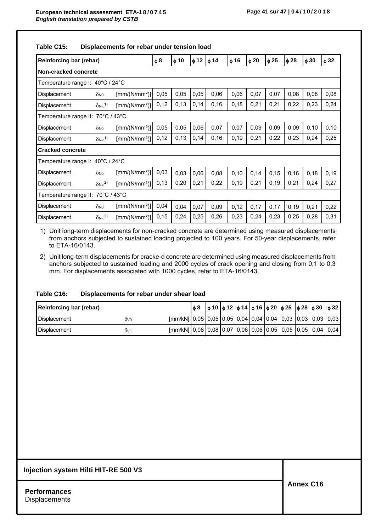| Reinforcing bar (rebar)                                                                                                                                                  |                                    |                                                 | $\phi$ 8 | $\phi$ 10 | $\phi$ 12 | $\phi$ 14 | $\phi$ 16 | $\phi$ 20 | $\phi$ 25 | $\phi$ 28 | $\phi$ 30 | $\phi$ 32 |
|--------------------------------------------------------------------------------------------------------------------------------------------------------------------------|------------------------------------|-------------------------------------------------|----------|-----------|-----------|-----------|-----------|-----------|-----------|-----------|-----------|-----------|
| Non-cracked concrete                                                                                                                                                     |                                    |                                                 |          |           |           |           |           |           |           |           |           |           |
| Temperature range I: 40°C / 24°C                                                                                                                                         |                                    |                                                 |          |           |           |           |           |           |           |           |           |           |
| 0,05<br>0,05<br>0,06<br>0,06<br>0,07<br>0,07<br>0,08<br>0,08<br>$\left[\text{mm}/(\text{N}/\text{mm}^2)\right]$<br>0,05<br><b>Displacement</b><br>$\delta$ <sub>NO</sub> |                                    |                                                 |          |           |           |           |           |           |           |           |           | 0,08      |
| Displacement                                                                                                                                                             | $\delta_{N\infty}$ <sup>1)</sup>   | $\left[\text{mm}/(\text{N/mm}^2)\right]$        | 0,12     | 0,13      | 0,14      | 0, 16     | 0,18      | 0,21      | 0,21      | 0,22      | 0,23      | 0,24      |
| Temperature range II:                                                                                                                                                    | 70°C / 43°C                        |                                                 |          |           |           |           |           |           |           |           |           |           |
| Displacement                                                                                                                                                             | $\delta$ <sub>NO</sub>             | [mm/(N/mm <sup>2</sup> )]                       | 0,05     | 0,05      | 0,06      | 0,07      | 0,07      | 0.09      | 0,09      | 0,09      | 0, 10     | 0, 10     |
| Displacement                                                                                                                                                             | $\delta_{N\infty}$ <sup>1)</sup>   | $\left[\text{mm}/(\text{N}/\text{mm}^2)\right]$ | 0,12     | 0,13      | 0,14      | 0, 16     | 0, 19     | 0,21      | 0,22      | 0,23      | 0,24      | 0,25      |
| <b>Cracked concrete</b>                                                                                                                                                  |                                    |                                                 |          |           |           |           |           |           |           |           |           |           |
| Temperature range I: 40°C / 24°C                                                                                                                                         |                                    |                                                 |          |           |           |           |           |           |           |           |           |           |
| Displacement                                                                                                                                                             | $\delta$ NO                        | $\left[\text{mm}/(\text{N}/\text{mm}^2)\right]$ | 0,03     | 0,03      | 0,06      | 0,08      | 0,10      | 0,14      | 0,15      | 0,16      | 0,18      | 0, 19     |
| Displacement                                                                                                                                                             | $\delta_{N\infty}^{2)}$            | $\left[\text{mm}/(\text{N/mm}^2)\right]$        | 0,13     | 0,20      | 0,21      | 0,22      | 0,19      | 0,21      | 0,19      | 0,21      | 0,24      | 0,27      |
| Temperature range II:                                                                                                                                                    | 70°C / 43°C                        |                                                 |          |           |           |           |           |           |           |           |           |           |
| Displacement                                                                                                                                                             | $\delta$ NO                        | $\left[\text{mm}/(\text{N}/\text{mm}^2)\right]$ | 0,04     | 0,04      | 0,07      | 0,09      | 0,12      | 0,17      | 0,17      | 0,19      | 0,21      | 0,22      |
| Displacement                                                                                                                                                             | $\delta_{\mathsf{N}\infty}{}^{2)}$ | $\left[\text{mm}/(\text{N}/\text{mm}^2)\right]$ | 0, 15    | 0,24      | 0,25      | 0,26      | 0,23      | 0,24      | 0,23      | 0,25      | 0,28      | 0,31      |

**Table C15: Displacements for rebar under tension load** 

1) Unit long-term displacements for non-cracked concrete are determined using measured displacements from anchors subjected to sustained loading projected to 100 years. For 50-year displacements, refer to ETA-16/0143.

2) Unit long-term displacements for cracke-d concrete are determined using measured displacements from anchors subjected to sustained loading and 2000 cycles of crack opening and closing from 0,1 to 0,3 mm. For displacements associated with 1000 cycles, refer to ETA-16/0143.

### **Table C16: Displacements for rebar under shear load**

| Reinforcing bar (rebar) |              |                                                                               | ტ8. |  |  |  | $ \phi 10  \phi 12  \phi 14  \phi 16  \phi 20  \phi 25  \phi 28  \phi 30  \phi 32 $ |  |
|-------------------------|--------------|-------------------------------------------------------------------------------|-----|--|--|--|-------------------------------------------------------------------------------------|--|
| Displacement            | $\delta v_0$ | [mm/kN]   0,05   0,05   0,05   0,04   0,04   0,04   0,03   0,03   0,03   0,03 |     |  |  |  |                                                                                     |  |
| <b>Displacement</b>     | $\delta v$   | [mm/kN]   0,08   0,08   0,07   0,06   0,06   0,05   0,05   0,05   0,04   0,04 |     |  |  |  |                                                                                     |  |

#### **Injection system Hilti HIT-RE 500 V3**

**Performances Displacements**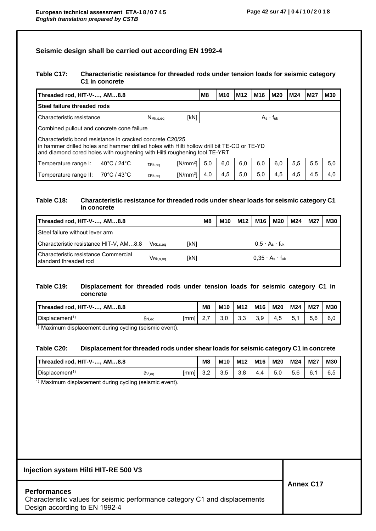### **Seismic design shall be carried out according EN 1992-4**

### **Table C17: Characteristic resistance for threaded rods under tension loads for seismic category C1 in concrete**

| Threaded rod, HIT-V-, AM8.8                                                                                                                                                                                                           |             |        |            | M8  | M <sub>10</sub>    | M <sub>12</sub> | M16 | <b>M20</b> | M24 | M27 | <b>M30</b> |  |  |
|---------------------------------------------------------------------------------------------------------------------------------------------------------------------------------------------------------------------------------------|-------------|--------|------------|-----|--------------------|-----------------|-----|------------|-----|-----|------------|--|--|
| Steel failure threaded rods                                                                                                                                                                                                           |             |        |            |     |                    |                 |     |            |     |     |            |  |  |
| Characteristic resistance<br>[kN]<br>$N_{\mathsf{Rk},\mathsf{s},\mathsf{eq}}$                                                                                                                                                         |             |        |            |     | $As - f_{\rm{uk}}$ |                 |     |            |     |     |            |  |  |
| Combined pullout and concrete cone failure                                                                                                                                                                                            |             |        |            |     |                    |                 |     |            |     |     |            |  |  |
| Characteristic bond resistance in cracked concrete C20/25<br>in hammer drilled holes and hammer drilled holes with Hilti hollow drill bit TE-CD or TE-YD<br>and diamond cored holes with roughening with Hilti roughening tool TE-YRT |             |        |            |     |                    |                 |     |            |     |     |            |  |  |
| 5,0<br>5,5<br>$[N/mm^2]$<br>6,0<br>6,0<br>6.0<br>6.0<br>5,5<br>40°C / 24°C<br>Temperature range I:<br>$TRk$ .ea                                                                                                                       |             |        |            |     |                    |                 |     | 5,0        |     |     |            |  |  |
| Temperature range II:                                                                                                                                                                                                                 | 70°C / 43°C | TRk.ea | $[N/mm^2]$ | 4,0 | 4,5                | 5,0             | 5,0 | 4,5        | 4,5 | 4,5 | 4,0        |  |  |

### **Table C18: Characteristic resistance for threaded rods under shear loads for seismic category C1 in concrete**

| Threaded rod, HIT-V-, AM8.8                                       |                      |      | M8                           | M10 | M12 | M16 | M20                           | M24 | M27 | <b>M30</b> |
|-------------------------------------------------------------------|----------------------|------|------------------------------|-----|-----|-----|-------------------------------|-----|-----|------------|
| Steel failure without lever arm                                   |                      |      |                              |     |     |     |                               |     |     |            |
| Characteristic resistance HIT-V, $AM8.8$ VRk.s.eq.<br><b>IkN1</b> |                      |      | $0.5 \cdot A_s \cdot f_{uk}$ |     |     |     |                               |     |     |            |
| Characteristic resistance Commercial<br>standard threaded rod     | V <sub>Rk.s.ea</sub> | [kN] |                              |     |     |     | $0.35 \cdot A_s \cdot f_{uk}$ |     |     |            |

### **Table C19: Displacement for threaded rods under tension loads for seismic category C1 in concrete**

| Threaded rod, HIT-V-, AM8.8 |       |      | M <sub>8</sub> | M <sub>10</sub> | M <sub>12</sub> | M <sub>16</sub> | <b>M20</b> | M24 | <b>M27</b> | <b>M30</b> |
|-----------------------------|-------|------|----------------|-----------------|-----------------|-----------------|------------|-----|------------|------------|
| Displacement <sup>1</sup>   | ON,eq | [mm] | <u>.</u>       | J.U             | ົົ<br>ບ.ບ       | 3,9             | 4.5        | J.  | r c<br>5.6 | 6,0        |

 $\overline{1}$ ) Maximum displacement during cycling (seismic event).

#### **Table C20: Displacement for threaded rods under shear loads for seismic category C1 in concrete**

| Threaded rod, HIT-V-, AM8.8               |       |      | M8  | M <sub>10</sub> | M12 | M16 | M20 | M24 | M27 | <b>M30</b> |
|-------------------------------------------|-------|------|-----|-----------------|-----|-----|-----|-----|-----|------------|
| $\blacksquare$ Displacement <sup>1)</sup> | OV,eq | [mm] | J.∠ | 3,5             | 3.8 | 4.4 | 5.0 | 5.6 | 6.1 | 6.5        |

1) Maximum displacement during cycling (seismic event).

### **Injection system Hilti HIT-RE 500 V3**

#### **Performances**

Characteristic values for seismic performance category C1 and displacements Design according to EN 1992-4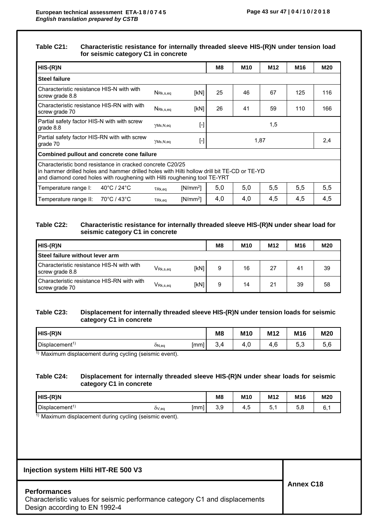### **Table C21: Characteristic resistance for internally threaded sleeve HIS-(R)N under tension load for seismic category C1 in concrete**

| $HIS-(R)N$                                                                                                                                                                                                                            |                                          |            | M8   | M10 | M12 | M16 | M20 |  |  |  |  |
|---------------------------------------------------------------------------------------------------------------------------------------------------------------------------------------------------------------------------------------|------------------------------------------|------------|------|-----|-----|-----|-----|--|--|--|--|
| <b>Steel failure</b>                                                                                                                                                                                                                  |                                          |            |      |     |     |     |     |  |  |  |  |
| Characteristic resistance HIS-N with with<br>screw grade 8.8                                                                                                                                                                          | $N_{\mathsf{Rk},\mathsf{s},\mathsf{eq}}$ | [kN]       | 25   | 46  | 67  | 125 | 116 |  |  |  |  |
| Characteristic resistance HIS-RN with with<br>screw grade 70                                                                                                                                                                          | $N_{\text{Rk},\text{s},\text{eq}}$       | [kN]       | 26   | 41  | 59  | 110 | 166 |  |  |  |  |
| Partial safety factor HIS-N with with screw<br>grade 8.8                                                                                                                                                                              | YMs,N,eq                                 | $[\cdot]$  | 1,5  |     |     |     |     |  |  |  |  |
| Partial safety factor HIS-RN with with screw<br>grade 70                                                                                                                                                                              | YMs,N,eq                                 | $[\cdot]$  | 1,87 |     |     |     |     |  |  |  |  |
| Combined pullout and concrete cone failure                                                                                                                                                                                            |                                          |            |      |     |     |     |     |  |  |  |  |
| Characteristic bond resistance in cracked concrete C20/25<br>in hammer drilled holes and hammer drilled holes with Hilti hollow drill bit TE-CD or TE-YD<br>and diamond cored holes with roughening with Hilti roughening tool TE-YRT |                                          |            |      |     |     |     |     |  |  |  |  |
| $40^{\circ}$ C / 24 $^{\circ}$ C<br>Temperature range I:                                                                                                                                                                              | TRk.ea                                   | $[N/mm^2]$ | 5,0  | 5,0 | 5,5 | 5,5 | 5,5 |  |  |  |  |
| 70°C / 43°C<br>Temperature range II:                                                                                                                                                                                                  | TRk,eg                                   | $[N/mm^2]$ | 4,0  | 4,0 | 4,5 | 4,5 | 4,5 |  |  |  |  |

### **Table C22: Characteristic resistance for internally threaded sleeve HIS-(R)N under shear load for seismic category C1 in concrete**

| HIS-(R)N                                                     |                                                   |      | M <sub>8</sub> | M <sub>10</sub> | M <sub>12</sub> | M <sub>16</sub> | M20 |
|--------------------------------------------------------------|---------------------------------------------------|------|----------------|-----------------|-----------------|-----------------|-----|
| <b>Steel failure without lever arm</b>                       |                                                   |      |                |                 |                 |                 |     |
| Characteristic resistance HIS-N with with<br>screw grade 8.8 | $\mathsf{V}_{\mathsf{Rk},\mathsf{s},\mathsf{eq}}$ | [kN] | 9              | 16              | 27              | 41              | 39  |
| Characteristic resistance HIS-RN with with<br>screw grade 70 | $V_{\mathsf{Rk},\mathsf{s},\mathsf{eq}}$          | [kN] | 9              | 14              | 21              | 39              | 58  |

### **Table C23: Displacement for internally threaded sleeve HIS-(R)N under tension loads for seismic category C1 in concrete**

| HIS-(R)N                   |       |      | M <sub>8</sub> | M <sub>10</sub> | M12               | M16                 | M20 |
|----------------------------|-------|------|----------------|-----------------|-------------------|---------------------|-----|
| Displacement <sup>1)</sup> | ON,eq | [mm] | ∙.∼            | 4.U             | $\sqrt{2}$<br>4,6 | Б.<br>$\sim$<br>v.v | 5,6 |

1) Maximum displacement during cycling (seismic event).

### **Table C24: Displacement for internally threaded sleeve HIS-(R)N under shear loads for seismic category C1 in concrete**

| $HIS-(R)N$                                                                                                                                                                                                                                                                                                                        |       |    | M <sub>8</sub>                  | M10      | M <sub>12</sub> | M16 | M20 |
|-----------------------------------------------------------------------------------------------------------------------------------------------------------------------------------------------------------------------------------------------------------------------------------------------------------------------------------|-------|----|---------------------------------|----------|-----------------|-----|-----|
| Displacement <sup>1</sup>                                                                                                                                                                                                                                                                                                         | OV,eq | mm | $\overline{\phantom{a}}$<br>◡.◡ | $\cdots$ |                 | U.U | J.  |
| <b>1)</b> $\mathbf{A}$ $\mathbf{A}$ $\mathbf{A}$ $\mathbf{A}$ $\mathbf{A}$ $\mathbf{A}$ $\mathbf{A}$ $\mathbf{A}$ $\mathbf{A}$ $\mathbf{A}$ $\mathbf{A}$ $\mathbf{A}$ $\mathbf{A}$ $\mathbf{A}$ $\mathbf{A}$ $\mathbf{A}$ $\mathbf{A}$ $\mathbf{A}$ $\mathbf{A}$ $\mathbf{A}$ $\mathbf{A}$ $\mathbf{A}$ $\mathbf{A}$ $\mathbf{A}$ |       |    |                                 |          |                 |     |     |

 $\overline{1}$ ) Maximum displacement during cycling (seismic event).

### **Injection system Hilti HIT-RE 500 V3**

### **Performances**

| .                                                                           |  |
|-----------------------------------------------------------------------------|--|
| Characteristic values for seismic performance category C1 and displacements |  |
| Design according to EN 1992-4                                               |  |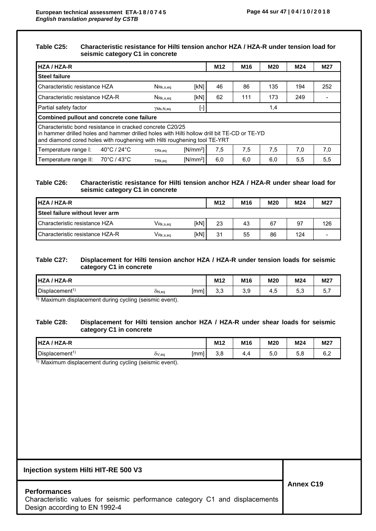#### **Table C25: Characteristic resistance for Hilti tension anchor HZA / HZA-R under tension load for seismic category C1 in concrete**

| <b>HZA / HZA-R</b>              |                                                                                                                                                                                                                                       |                                          |            | M <sub>12</sub> | M <sub>16</sub> | <b>M20</b> | M24 | M27 |  |  |  |  |
|---------------------------------|---------------------------------------------------------------------------------------------------------------------------------------------------------------------------------------------------------------------------------------|------------------------------------------|------------|-----------------|-----------------|------------|-----|-----|--|--|--|--|
| <b>Steel failure</b>            |                                                                                                                                                                                                                                       |                                          |            |                 |                 |            |     |     |  |  |  |  |
| Characteristic resistance HZA   |                                                                                                                                                                                                                                       | $N_{\text{Rk},\text{s},\text{eq}}$       | [kN]       | 46              | 86              | 135        | 194 | 252 |  |  |  |  |
| Characteristic resistance HZA-R |                                                                                                                                                                                                                                       | $N_{\mathsf{Rk},\mathsf{s},\mathsf{eq}}$ | [kN]       | 62              | 111             | 173        | 249 |     |  |  |  |  |
| Partial safety factor           |                                                                                                                                                                                                                                       | YMs, N, eq                               | $[\cdot]$  |                 |                 | 1,4        |     |     |  |  |  |  |
|                                 | Combined pullout and concrete cone failure                                                                                                                                                                                            |                                          |            |                 |                 |            |     |     |  |  |  |  |
|                                 | Characteristic bond resistance in cracked concrete C20/25<br>In hammer drilled holes and hammer drilled holes with Hilti hollow drill bit TE-CD or TE-YD<br>and diamond cored holes with roughening with Hilti roughening tool TE-YRT |                                          |            |                 |                 |            |     |     |  |  |  |  |
| Temperature range I:            | $40^{\circ}$ C / 24 $^{\circ}$ C                                                                                                                                                                                                      | TRk,eg                                   | $[N/mm^2]$ | 7,5             | 7,5             | 7,5        | 7,0 | 7,0 |  |  |  |  |
| Temperature range II:           | 70°C / 43°C                                                                                                                                                                                                                           | TRk, eq                                  | $[N/mm^2]$ | 6,0             | 6,0             | 6,0        | 5,5 | 5,5 |  |  |  |  |

### **Table C26: Characteristic resistance for Hilti tension anchor HZA / HZA-R under shear load for seismic category C1 in concrete**

| <b>HZA/HZA-R</b>                       |                                                   |      | M <sub>12</sub> | M <sub>16</sub> | <b>M20</b> | M24 | M <sub>27</sub> |
|----------------------------------------|---------------------------------------------------|------|-----------------|-----------------|------------|-----|-----------------|
| <b>Steel failure without lever arm</b> |                                                   |      |                 |                 |            |     |                 |
| Characteristic resistance HZA          | $\mathsf{V}_{\mathsf{Rk},\mathsf{s},\mathsf{eq}}$ | [kN] | 23              | 43              | 67         | 97  | 126             |
| Characteristic resistance HZA-R        | V <sub>Rk,s,eq</sub>                              | [kN] | 31              | 55              | 86         | 124 |                 |

#### **Table C27: Displacement for Hilti tension anchor HZA / HZA-R under tension loads for seismic category C1 in concrete**

| <b>HZA-R</b><br><b>HZA</b> |       |     | M12 | M16                       | M20 | M24                  | M27 |
|----------------------------|-------|-----|-----|---------------------------|-----|----------------------|-----|
| Displacement <sup>1</sup>  | ON,eq | mm] | u,u | $\sim$ $\sim$<br>◡<br>ບ.ບ | ⊤.⊾ | $ \cdot$<br>∽<br>v.u | ີ.  |

 $\overline{1}$ ) Maximum displacement during cycling (seismic event).

### **Table C28: Displacement for Hilti tension anchor HZA / HZA-R under shear loads for seismic category C1 in concrete**

| <b>HZA-R</b><br>HZA /     |       |      | M <sub>12</sub> | M16 | <b>M20</b> | M24 | M27 |
|---------------------------|-------|------|-----------------|-----|------------|-----|-----|
| Displacement <sup>1</sup> | OV,eq | [mm] | v,v             | . . | v.v        | J.U | ັັ  |

 $\overline{1}$ ) Maximum displacement during cycling (seismic event).

# **Injection system Hilti HIT-RE 500 V3**

### **Performances**

|                               |  |  |  | Characteristic values for seismic performance category C1 and displacements |
|-------------------------------|--|--|--|-----------------------------------------------------------------------------|
| Design according to EN 1992-4 |  |  |  |                                                                             |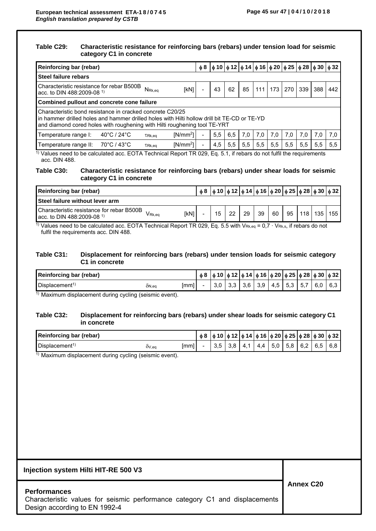#### **Table C29: Characteristic resistance for reinforcing bars (rebars) under tension load for seismic category C1 in concrete**

|                                                                                                                                                                                                                                       | Reinforcing bar (rebar) |                    |            |  |     |     |     |      |     | $\phi$ 8   $\phi$ 10   $\phi$ 12   $\phi$ 14   $\phi$ 16   $\phi$ 20   $\phi$ 25   $\phi$ 28   $\phi$ 30   $\phi$ 32 |     |     |     |
|---------------------------------------------------------------------------------------------------------------------------------------------------------------------------------------------------------------------------------------|-------------------------|--------------------|------------|--|-----|-----|-----|------|-----|----------------------------------------------------------------------------------------------------------------------|-----|-----|-----|
| Steel failure rebars                                                                                                                                                                                                                  |                         |                    |            |  |     |     |     |      |     |                                                                                                                      |     |     |     |
| Characteristic resistance for rebar B500B<br>acc. to DIN 488:2009-08 <sup>1)</sup>                                                                                                                                                    |                         | $N_{\text{Rk,eq}}$ | [kN]       |  | 43  | 62  | 85  | 1111 | 173 | 270                                                                                                                  | 339 | 388 | 442 |
| Combined pullout and concrete cone failure                                                                                                                                                                                            |                         |                    |            |  |     |     |     |      |     |                                                                                                                      |     |     |     |
| Characteristic bond resistance in cracked concrete C20/25<br>in hammer drilled holes and hammer drilled holes with Hilti hollow drill bit TE-CD or TE-YD<br>and diamond cored holes with roughening with Hilti roughening tool TE-YRT |                         |                    |            |  |     |     |     |      |     |                                                                                                                      |     |     |     |
| Temperature range I:                                                                                                                                                                                                                  | 40°C / 24°C             | TRk,eq             | $[N/mm^2]$ |  | 5,5 | 6,5 | 7.0 | 7,0  | 7.0 | 7,0                                                                                                                  | 7.0 | 7.0 | 7,0 |
| Temperature range II:                                                                                                                                                                                                                 | 70°C / 43°C             | TRk,eg             | $[N/mm^2]$ |  | 4,5 | 5,5 | 5,5 | 5,5  | 5,5 | 5,5                                                                                                                  | 5,5 | 5,5 | 5,5 |

1) Values need to be calculated acc. EOTA Technical Report TR 029, Eq. 5.1, if rebars do not fulfil the requirements acc. DIN 488.

#### **Table C30: Characteristic resistance for reinforcing bars (rebars) under shear loads for seismic category C1 in concrete**

| Reinforcing bar (rebar)                                                                               | $\phi$ 8 $\phi$ 10 $\phi$ 12 $\phi$ 14 $\phi$ 16 $\phi$ 20 $\phi$ 25 $\phi$ 28 $\phi$ 30 $\phi$ 32 |    |    |    |    |    |     |     |     |
|-------------------------------------------------------------------------------------------------------|----------------------------------------------------------------------------------------------------|----|----|----|----|----|-----|-----|-----|
| <b>Steel failure without lever arm</b>                                                                |                                                                                                    |    |    |    |    |    |     |     |     |
| Characteristic resistance for rebar B500B<br>[kN]<br>V Rk.ea<br>acc. to DIN 488:2009-08 <sup>1)</sup> | 15                                                                                                 | 22 | 29 | 39 | 60 | 95 | 118 | 135 | 155 |

<sup>1</sup>) Values need to be calculated acc. EOTA Technical Report TR 029, Eq. 5.5 with V<sub>Rk,eq</sub> = 0,7  $\cdot$  V<sub>Rk,s</sub>, if rebars do not fulfil the requirements acc. DIN 488.

### **Table C31: Displacement for reinforcing bars (rebars) under tension loads for seismic category C1 in concrete**

| Reinforcing bar (rebar)   |       |      | ტ8 |     |     |     |     |     |     |     | `   ф 10   ф 12   ф 14   ф 16   ф 20   ф 25   ф 28   ф 30   ф 32 |
|---------------------------|-------|------|----|-----|-----|-----|-----|-----|-----|-----|------------------------------------------------------------------|
| Displacement <sup>1</sup> | ON,eq | [mm] |    | ა.ა | 3,6 | 3,9 | 4,5 | 5,3 | 5.7 | 6.0 | 6.3                                                              |

 $1)$  Maximum displacement during cycling (seismic event).

### **Table C32: Displacement for reinforcing bars (rebars) under shear loads for seismic category C1 in concrete**

| <b>Reinforcing bar (rebar)</b> |       |      | $\phi$ 8 $\phi$ 10 $\phi$ 12 $\phi$ 14 $\phi$ 16 $\phi$ 20 $\phi$ 25 $\phi$ 28 $\phi$ 30 $\phi$ 32 |     |     |                        |     |     |     |     |     |
|--------------------------------|-------|------|----------------------------------------------------------------------------------------------------|-----|-----|------------------------|-----|-----|-----|-----|-----|
| Displacement <sup>1</sup>      | OV,eq | [mm] |                                                                                                    | 3,8 | 4.1 | 4<br>$\Lambda$<br>T. T | 5,0 | 5,8 | 6,2 | 6.5 | 6.8 |

 $\overline{1}$ ) Maximum displacement during cycling (seismic event).

| Injection system Hilti HIT-RE 500 V3                                                                                                |                  |
|-------------------------------------------------------------------------------------------------------------------------------------|------------------|
| <b>Performances</b><br>Characteristic values for seismic performance category C1 and displacements<br>Design according to EN 1992-4 | <b>Annex C20</b> |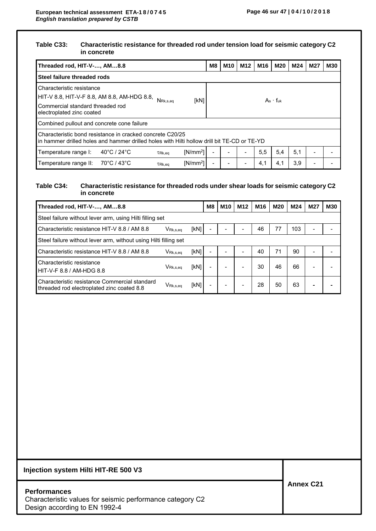### **Table C33: Characteristic resistance for threaded rod under tension load for seismic category C2 in concrete**

| Threaded rod, HIT-V-, AM8.8                                                                                                                                           | M8 | M <sub>10</sub> | M12 | M16 | M20           | M24 | <b>M27</b>               | <b>M30</b> |
|-----------------------------------------------------------------------------------------------------------------------------------------------------------------------|----|-----------------|-----|-----|---------------|-----|--------------------------|------------|
| Steel failure threaded rods                                                                                                                                           |    |                 |     |     |               |     |                          |            |
| Characteristic resistance<br>  HIT-V 8.8, HIT-V-F 8.8, AM 8.8, AM-HDG 8.8, $N_{\rm Rk,s,eq}$<br>[kN]<br>Commercial standard threaded rod<br>electroplated zinc coated |    |                 |     |     | $As - f_{uk}$ |     |                          |            |
| Combined pullout and concrete cone failure                                                                                                                            |    |                 |     |     |               |     |                          |            |
| Characteristic bond resistance in cracked concrete C20/25<br>in hammer drilled holes and hammer drilled holes with Hilti hollow drill bit TE-CD or TE-YD              |    |                 |     |     |               |     |                          |            |
| 40°C / 24°C<br>$[N/mm^2]$<br>Temperature range I:<br>TRk,eg                                                                                                           |    |                 |     | 5,5 | 5,4           | 5,1 | $\overline{\phantom{0}}$ |            |
| $[N/mm^2]$<br>Temperature range II:<br>70°C / 43°C<br>TRk.ea                                                                                                          | ۰  |                 |     | 4,1 | 4,1           | 3,9 |                          |            |

### **Table C34: Characteristic resistance for threaded rods under shear loads for seismic category C2 in concrete**

| Threaded rod, HIT-V-, AM8.8                                                                 |                                          |      | M8 | M10 | M <sub>12</sub> | M16 | <b>M20</b> | M24 | M27                      | M30 |
|---------------------------------------------------------------------------------------------|------------------------------------------|------|----|-----|-----------------|-----|------------|-----|--------------------------|-----|
| Steel failure without lever arm, using Hilti filling set                                    |                                          |      |    |     |                 |     |            |     |                          |     |
| Characteristic resistance HIT-V 8.8 / AM 8.8                                                | $V_{\mathsf{Rk},\mathsf{s},\mathsf{eq}}$ | [kN] |    |     |                 | 46  | 77         | 103 | $\overline{\phantom{0}}$ |     |
| Steel failure without lever arm, without using Hilti filling set                            |                                          |      |    |     |                 |     |            |     |                          |     |
| Characteristic resistance HIT-V 8.8 / AM 8.8                                                | $V_{\mathsf{Rk},\mathsf{s},\mathsf{eq}}$ | [kN] |    |     |                 | 40  | 71         | 90  | $\overline{\phantom{0}}$ |     |
| Characteristic resistance<br>HIT-V-F 8.8 / AM-HDG 8.8                                       | V <sub>Rk.s.ea</sub>                     | [kN] |    |     |                 | 30  | 46         | 66  |                          |     |
| Characteristic resistance Commercial standard<br>threaded rod electroplated zinc coated 8.8 | $V_{\mathsf{Rk},\mathsf{s},\mathsf{eq}}$ | [kN] |    |     |                 | 28  | 50         | 63  | $\overline{\phantom{0}}$ |     |

## **Injection system Hilti HIT-RE 500 V3**